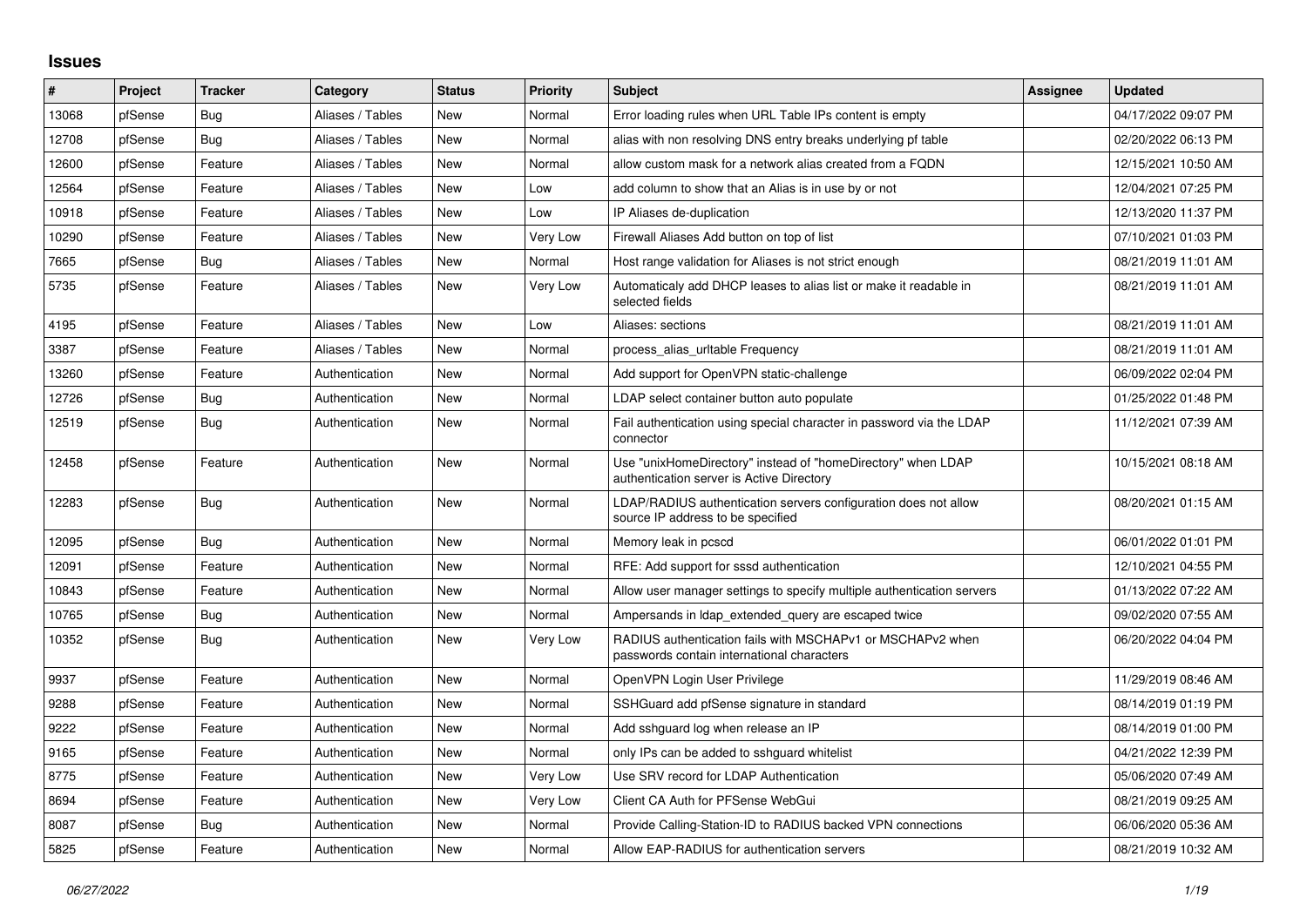## **Issues**

| #     | Project | <b>Tracker</b> | Category         | <b>Status</b> | <b>Priority</b> | <b>Subject</b>                                                                                            | Assignee | <b>Updated</b>      |
|-------|---------|----------------|------------------|---------------|-----------------|-----------------------------------------------------------------------------------------------------------|----------|---------------------|
| 13068 | pfSense | Bug            | Aliases / Tables | <b>New</b>    | Normal          | Error loading rules when URL Table IPs content is empty                                                   |          | 04/17/2022 09:07 PM |
| 12708 | pfSense | Bug            | Aliases / Tables | <b>New</b>    | Normal          | alias with non resolving DNS entry breaks underlying pf table                                             |          | 02/20/2022 06:13 PM |
| 12600 | pfSense | Feature        | Aliases / Tables | <b>New</b>    | Normal          | allow custom mask for a network alias created from a FQDN                                                 |          | 12/15/2021 10:50 AM |
| 12564 | pfSense | Feature        | Aliases / Tables | <b>New</b>    | Low             | add column to show that an Alias is in use by or not                                                      |          | 12/04/2021 07:25 PM |
| 10918 | pfSense | Feature        | Aliases / Tables | <b>New</b>    | Low             | IP Aliases de-duplication                                                                                 |          | 12/13/2020 11:37 PM |
| 10290 | pfSense | Feature        | Aliases / Tables | <b>New</b>    | Very Low        | Firewall Aliases Add button on top of list                                                                |          | 07/10/2021 01:03 PM |
| 7665  | pfSense | <b>Bug</b>     | Aliases / Tables | <b>New</b>    | Normal          | Host range validation for Aliases is not strict enough                                                    |          | 08/21/2019 11:01 AM |
| 5735  | pfSense | Feature        | Aliases / Tables | <b>New</b>    | Very Low        | Automaticaly add DHCP leases to alias list or make it readable in<br>selected fields                      |          | 08/21/2019 11:01 AM |
| 4195  | pfSense | Feature        | Aliases / Tables | <b>New</b>    | Low             | Aliases: sections                                                                                         |          | 08/21/2019 11:01 AM |
| 3387  | pfSense | Feature        | Aliases / Tables | <b>New</b>    | Normal          | process alias urltable Frequency                                                                          |          | 08/21/2019 11:01 AM |
| 13260 | pfSense | Feature        | Authentication   | <b>New</b>    | Normal          | Add support for OpenVPN static-challenge                                                                  |          | 06/09/2022 02:04 PM |
| 12726 | pfSense | Bug            | Authentication   | <b>New</b>    | Normal          | LDAP select container button auto populate                                                                |          | 01/25/2022 01:48 PM |
| 12519 | pfSense | <b>Bug</b>     | Authentication   | <b>New</b>    | Normal          | Fail authentication using special character in password via the LDAP<br>connector                         |          | 11/12/2021 07:39 AM |
| 12458 | pfSense | Feature        | Authentication   | <b>New</b>    | Normal          | Use "unixHomeDirectory" instead of "homeDirectory" when LDAP<br>authentication server is Active Directory |          | 10/15/2021 08:18 AM |
| 12283 | pfSense | Bug            | Authentication   | <b>New</b>    | Normal          | LDAP/RADIUS authentication servers configuration does not allow<br>source IP address to be specified      |          | 08/20/2021 01:15 AM |
| 12095 | pfSense | Bug            | Authentication   | <b>New</b>    | Normal          | Memory leak in pcscd                                                                                      |          | 06/01/2022 01:01 PM |
| 12091 | pfSense | Feature        | Authentication   | <b>New</b>    | Normal          | RFE: Add support for sssd authentication                                                                  |          | 12/10/2021 04:55 PM |
| 10843 | pfSense | Feature        | Authentication   | <b>New</b>    | Normal          | Allow user manager settings to specify multiple authentication servers                                    |          | 01/13/2022 07:22 AM |
| 10765 | pfSense | Bug            | Authentication   | <b>New</b>    | Normal          | Ampersands in Idap extended query are escaped twice                                                       |          | 09/02/2020 07:55 AM |
| 10352 | pfSense | Bug            | Authentication   | New           | Very Low        | RADIUS authentication fails with MSCHAPv1 or MSCHAPv2 when<br>passwords contain international characters  |          | 06/20/2022 04:04 PM |
| 9937  | pfSense | Feature        | Authentication   | <b>New</b>    | Normal          | OpenVPN Login User Privilege                                                                              |          | 11/29/2019 08:46 AM |
| 9288  | pfSense | Feature        | Authentication   | <b>New</b>    | Normal          | SSHGuard add pfSense signature in standard                                                                |          | 08/14/2019 01:19 PM |
| 9222  | pfSense | Feature        | Authentication   | <b>New</b>    | Normal          | Add sshguard log when release an IP                                                                       |          | 08/14/2019 01:00 PM |
| 9165  | pfSense | Feature        | Authentication   | <b>New</b>    | Normal          | only IPs can be added to sshguard whitelist                                                               |          | 04/21/2022 12:39 PM |
| 8775  | pfSense | Feature        | Authentication   | <b>New</b>    | Very Low        | Use SRV record for LDAP Authentication                                                                    |          | 05/06/2020 07:49 AM |
| 8694  | pfSense | Feature        | Authentication   | <b>New</b>    | Very Low        | Client CA Auth for PFSense WebGui                                                                         |          | 08/21/2019 09:25 AM |
| 8087  | pfSense | Bug            | Authentication   | <b>New</b>    | Normal          | Provide Calling-Station-ID to RADIUS backed VPN connections                                               |          | 06/06/2020 05:36 AM |
| 5825  | pfSense | Feature        | Authentication   | <b>New</b>    | Normal          | Allow EAP-RADIUS for authentication servers                                                               |          | 08/21/2019 10:32 AM |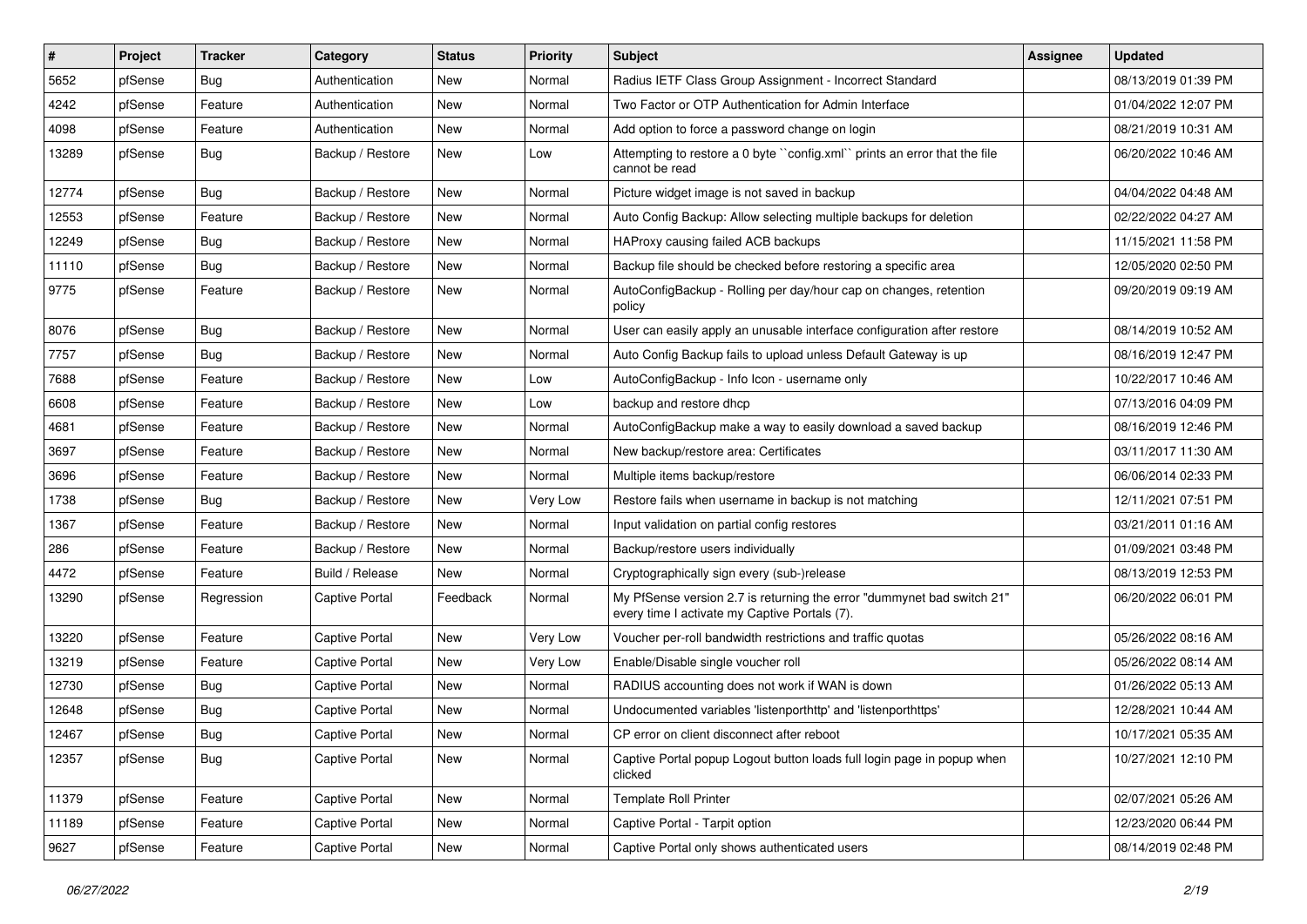| $\vert$ # | Project | <b>Tracker</b> | Category              | <b>Status</b> | <b>Priority</b> | <b>Subject</b>                                                                                                          | <b>Assignee</b> | <b>Updated</b>      |
|-----------|---------|----------------|-----------------------|---------------|-----------------|-------------------------------------------------------------------------------------------------------------------------|-----------------|---------------------|
| 5652      | pfSense | Bug            | Authentication        | New           | Normal          | Radius IETF Class Group Assignment - Incorrect Standard                                                                 |                 | 08/13/2019 01:39 PM |
| 4242      | pfSense | Feature        | Authentication        | <b>New</b>    | Normal          | Two Factor or OTP Authentication for Admin Interface                                                                    |                 | 01/04/2022 12:07 PM |
| 4098      | pfSense | Feature        | Authentication        | New           | Normal          | Add option to force a password change on login                                                                          |                 | 08/21/2019 10:31 AM |
| 13289     | pfSense | Bug            | Backup / Restore      | New           | Low             | Attempting to restore a 0 byte "config.xml" prints an error that the file<br>cannot be read                             |                 | 06/20/2022 10:46 AM |
| 12774     | pfSense | Bug            | Backup / Restore      | <b>New</b>    | Normal          | Picture widget image is not saved in backup                                                                             |                 | 04/04/2022 04:48 AM |
| 12553     | pfSense | Feature        | Backup / Restore      | New           | Normal          | Auto Config Backup: Allow selecting multiple backups for deletion                                                       |                 | 02/22/2022 04:27 AM |
| 12249     | pfSense | Bug            | Backup / Restore      | New           | Normal          | HAProxy causing failed ACB backups                                                                                      |                 | 11/15/2021 11:58 PM |
| 11110     | pfSense | Bug            | Backup / Restore      | New           | Normal          | Backup file should be checked before restoring a specific area                                                          |                 | 12/05/2020 02:50 PM |
| 9775      | pfSense | Feature        | Backup / Restore      | <b>New</b>    | Normal          | AutoConfigBackup - Rolling per day/hour cap on changes, retention<br>policy                                             |                 | 09/20/2019 09:19 AM |
| 8076      | pfSense | Bug            | Backup / Restore      | New           | Normal          | User can easily apply an unusable interface configuration after restore                                                 |                 | 08/14/2019 10:52 AM |
| 7757      | pfSense | <b>Bug</b>     | Backup / Restore      | New           | Normal          | Auto Config Backup fails to upload unless Default Gateway is up                                                         |                 | 08/16/2019 12:47 PM |
| 7688      | pfSense | Feature        | Backup / Restore      | New           | Low             | AutoConfigBackup - Info Icon - username only                                                                            |                 | 10/22/2017 10:46 AM |
| 6608      | pfSense | Feature        | Backup / Restore      | New           | Low             | backup and restore dhcp                                                                                                 |                 | 07/13/2016 04:09 PM |
| 4681      | pfSense | Feature        | Backup / Restore      | New           | Normal          | AutoConfigBackup make a way to easily download a saved backup                                                           |                 | 08/16/2019 12:46 PM |
| 3697      | pfSense | Feature        | Backup / Restore      | New           | Normal          | New backup/restore area: Certificates                                                                                   |                 | 03/11/2017 11:30 AM |
| 3696      | pfSense | Feature        | Backup / Restore      | <b>New</b>    | Normal          | Multiple items backup/restore                                                                                           |                 | 06/06/2014 02:33 PM |
| 1738      | pfSense | Bug            | Backup / Restore      | New           | Very Low        | Restore fails when username in backup is not matching                                                                   |                 | 12/11/2021 07:51 PM |
| 1367      | pfSense | Feature        | Backup / Restore      | New           | Normal          | Input validation on partial config restores                                                                             |                 | 03/21/2011 01:16 AM |
| 286       | pfSense | Feature        | Backup / Restore      | New           | Normal          | Backup/restore users individually                                                                                       |                 | 01/09/2021 03:48 PM |
| 4472      | pfSense | Feature        | Build / Release       | New           | Normal          | Cryptographically sign every (sub-)release                                                                              |                 | 08/13/2019 12:53 PM |
| 13290     | pfSense | Regression     | <b>Captive Portal</b> | Feedback      | Normal          | My PfSense version 2.7 is returning the error "dummynet bad switch 21"<br>every time I activate my Captive Portals (7). |                 | 06/20/2022 06:01 PM |
| 13220     | pfSense | Feature        | <b>Captive Portal</b> | <b>New</b>    | Very Low        | Voucher per-roll bandwidth restrictions and traffic quotas                                                              |                 | 05/26/2022 08:16 AM |
| 13219     | pfSense | Feature        | <b>Captive Portal</b> | <b>New</b>    | Very Low        | Enable/Disable single voucher roll                                                                                      |                 | 05/26/2022 08:14 AM |
| 12730     | pfSense | Bug            | <b>Captive Portal</b> | New           | Normal          | RADIUS accounting does not work if WAN is down                                                                          |                 | 01/26/2022 05:13 AM |
| 12648     | pfSense | Bug            | <b>Captive Portal</b> | New           | Normal          | Undocumented variables 'listenporthttp' and 'listenporthttps'                                                           |                 | 12/28/2021 10:44 AM |
| 12467     | pfSense | Bug            | Captive Portal        | New           | Normal          | CP error on client disconnect after reboot                                                                              |                 | 10/17/2021 05:35 AM |
| 12357     | pfSense | Bug            | Captive Portal        | New           | Normal          | Captive Portal popup Logout button loads full login page in popup when<br>clicked                                       |                 | 10/27/2021 12:10 PM |
| 11379     | pfSense | Feature        | <b>Captive Portal</b> | New           | Normal          | <b>Template Roll Printer</b>                                                                                            |                 | 02/07/2021 05:26 AM |
| 11189     | pfSense | Feature        | <b>Captive Portal</b> | New           | Normal          | Captive Portal - Tarpit option                                                                                          |                 | 12/23/2020 06:44 PM |
| 9627      | pfSense | Feature        | Captive Portal        | New           | Normal          | Captive Portal only shows authenticated users                                                                           |                 | 08/14/2019 02:48 PM |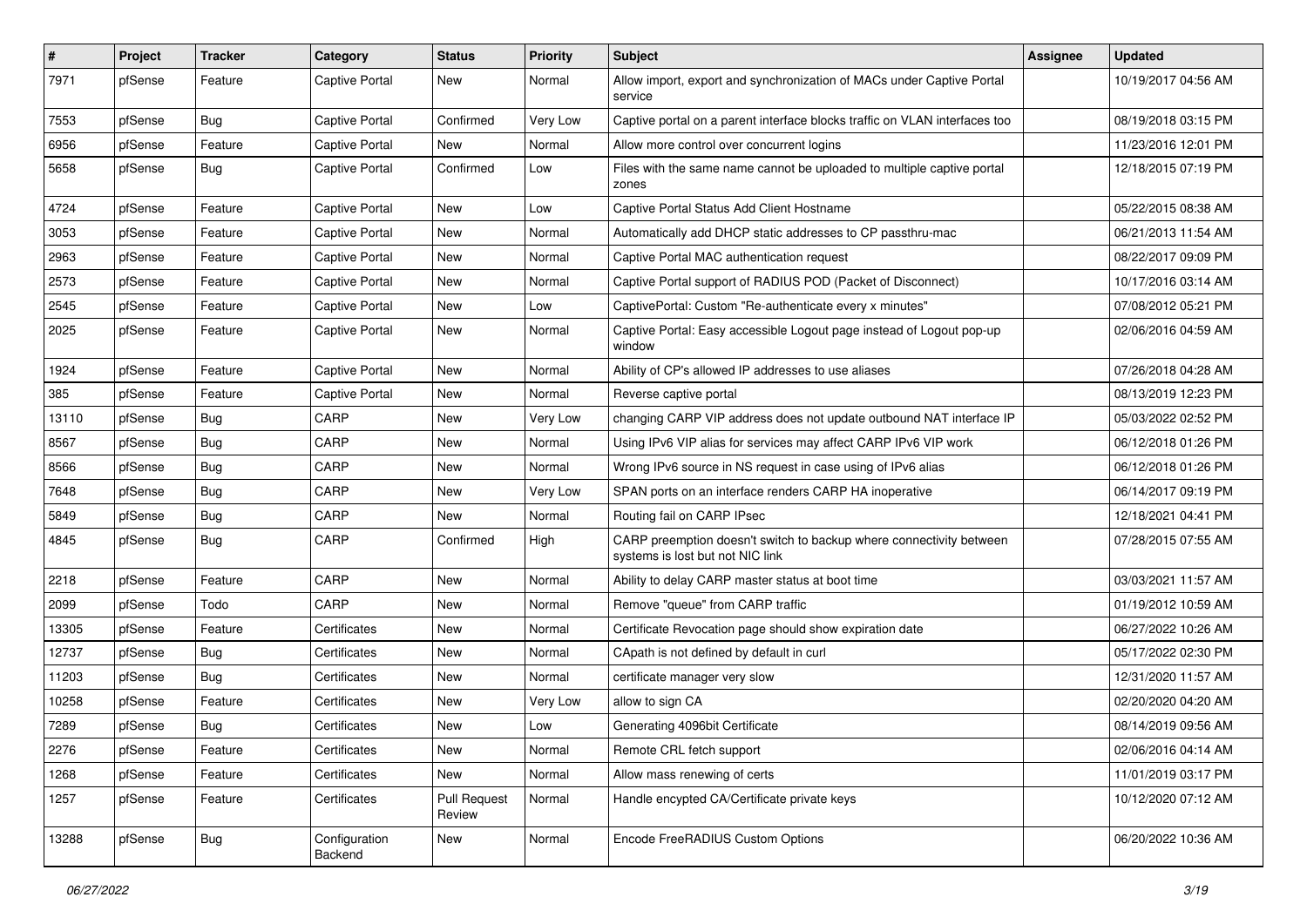| $\sharp$ | Project | <b>Tracker</b> | Category                 | <b>Status</b>                 | <b>Priority</b> | <b>Subject</b>                                                                                          | Assignee | <b>Updated</b>      |
|----------|---------|----------------|--------------------------|-------------------------------|-----------------|---------------------------------------------------------------------------------------------------------|----------|---------------------|
| 7971     | pfSense | Feature        | <b>Captive Portal</b>    | New                           | Normal          | Allow import, export and synchronization of MACs under Captive Portal<br>service                        |          | 10/19/2017 04:56 AM |
| 7553     | pfSense | Bug            | Captive Portal           | Confirmed                     | <b>Very Low</b> | Captive portal on a parent interface blocks traffic on VLAN interfaces too                              |          | 08/19/2018 03:15 PM |
| 6956     | pfSense | Feature        | <b>Captive Portal</b>    | New                           | Normal          | Allow more control over concurrent logins                                                               |          | 11/23/2016 12:01 PM |
| 5658     | pfSense | Bug            | <b>Captive Portal</b>    | Confirmed                     | Low             | Files with the same name cannot be uploaded to multiple captive portal<br>zones                         |          | 12/18/2015 07:19 PM |
| 4724     | pfSense | Feature        | <b>Captive Portal</b>    | New                           | Low             | Captive Portal Status Add Client Hostname                                                               |          | 05/22/2015 08:38 AM |
| 3053     | pfSense | Feature        | Captive Portal           | New                           | Normal          | Automatically add DHCP static addresses to CP passthru-mac                                              |          | 06/21/2013 11:54 AM |
| 2963     | pfSense | Feature        | <b>Captive Portal</b>    | New                           | Normal          | Captive Portal MAC authentication request                                                               |          | 08/22/2017 09:09 PM |
| 2573     | pfSense | Feature        | <b>Captive Portal</b>    | New                           | Normal          | Captive Portal support of RADIUS POD (Packet of Disconnect)                                             |          | 10/17/2016 03:14 AM |
| 2545     | pfSense | Feature        | Captive Portal           | New                           | Low             | CaptivePortal: Custom "Re-authenticate every x minutes"                                                 |          | 07/08/2012 05:21 PM |
| 2025     | pfSense | Feature        | Captive Portal           | New                           | Normal          | Captive Portal: Easy accessible Logout page instead of Logout pop-up<br>window                          |          | 02/06/2016 04:59 AM |
| 1924     | pfSense | Feature        | <b>Captive Portal</b>    | New                           | Normal          | Ability of CP's allowed IP addresses to use aliases                                                     |          | 07/26/2018 04:28 AM |
| 385      | pfSense | Feature        | <b>Captive Portal</b>    | <b>New</b>                    | Normal          | Reverse captive portal                                                                                  |          | 08/13/2019 12:23 PM |
| 13110    | pfSense | Bug            | CARP                     | New                           | Very Low        | changing CARP VIP address does not update outbound NAT interface IP                                     |          | 05/03/2022 02:52 PM |
| 8567     | pfSense | Bug            | CARP                     | <b>New</b>                    | Normal          | Using IPv6 VIP alias for services may affect CARP IPv6 VIP work                                         |          | 06/12/2018 01:26 PM |
| 8566     | pfSense | <b>Bug</b>     | CARP                     | <b>New</b>                    | Normal          | Wrong IPv6 source in NS request in case using of IPv6 alias                                             |          | 06/12/2018 01:26 PM |
| 7648     | pfSense | <b>Bug</b>     | CARP                     | New                           | Very Low        | SPAN ports on an interface renders CARP HA inoperative                                                  |          | 06/14/2017 09:19 PM |
| 5849     | pfSense | Bug            | CARP                     | New                           | Normal          | Routing fail on CARP IPsec                                                                              |          | 12/18/2021 04:41 PM |
| 4845     | pfSense | Bug            | CARP                     | Confirmed                     | High            | CARP preemption doesn't switch to backup where connectivity between<br>systems is lost but not NIC link |          | 07/28/2015 07:55 AM |
| 2218     | pfSense | Feature        | CARP                     | <b>New</b>                    | Normal          | Ability to delay CARP master status at boot time                                                        |          | 03/03/2021 11:57 AM |
| 2099     | pfSense | Todo           | CARP                     | New                           | Normal          | Remove "queue" from CARP traffic                                                                        |          | 01/19/2012 10:59 AM |
| 13305    | pfSense | Feature        | Certificates             | <b>New</b>                    | Normal          | Certificate Revocation page should show expiration date                                                 |          | 06/27/2022 10:26 AM |
| 12737    | pfSense | Bug            | Certificates             | <b>New</b>                    | Normal          | CApath is not defined by default in curl                                                                |          | 05/17/2022 02:30 PM |
| 11203    | pfSense | <b>Bug</b>     | Certificates             | New                           | Normal          | certificate manager very slow                                                                           |          | 12/31/2020 11:57 AM |
| 10258    | pfSense | Feature        | Certificates             | <b>New</b>                    | Very Low        | allow to sign CA                                                                                        |          | 02/20/2020 04:20 AM |
| 7289     | pfSense | <b>Bug</b>     | Certificates             | New                           | Low             | Generating 4096bit Certificate                                                                          |          | 08/14/2019 09:56 AM |
| 2276     | pfSense | Feature        | Certificates             | New                           | Normal          | Remote CRL fetch support                                                                                |          | 02/06/2016 04:14 AM |
| 1268     | pfSense | Feature        | Certificates             | New                           | Normal          | Allow mass renewing of certs                                                                            |          | 11/01/2019 03:17 PM |
| 1257     | pfSense | Feature        | Certificates             | <b>Pull Request</b><br>Review | Normal          | Handle encypted CA/Certificate private keys                                                             |          | 10/12/2020 07:12 AM |
| 13288    | pfSense | Bug            | Configuration<br>Backend | New                           | Normal          | Encode FreeRADIUS Custom Options                                                                        |          | 06/20/2022 10:36 AM |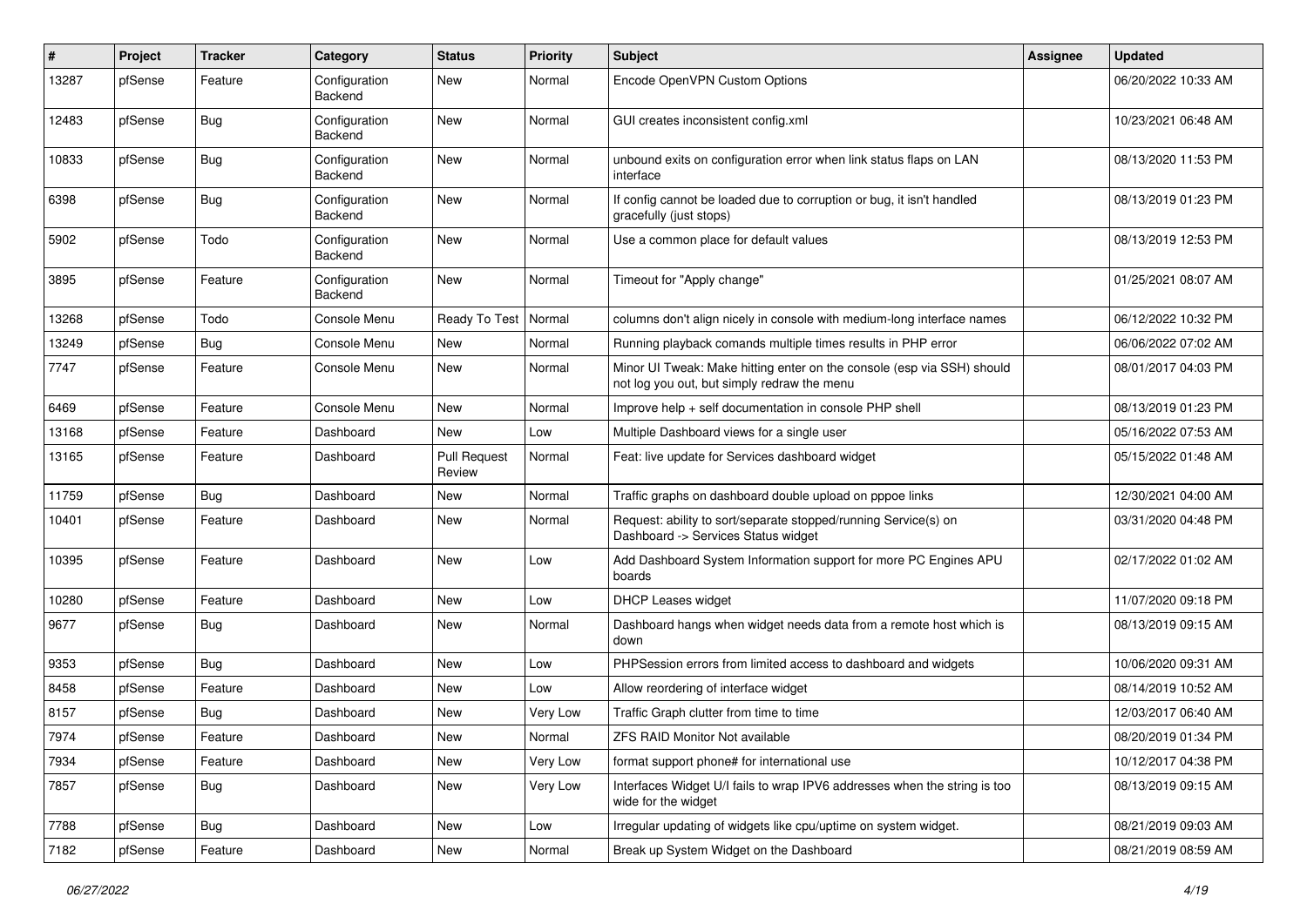| #     | Project | <b>Tracker</b> | Category                 | <b>Status</b>                 | <b>Priority</b> | <b>Subject</b>                                                                                                        | <b>Assignee</b> | <b>Updated</b>      |
|-------|---------|----------------|--------------------------|-------------------------------|-----------------|-----------------------------------------------------------------------------------------------------------------------|-----------------|---------------------|
| 13287 | pfSense | Feature        | Configuration<br>Backend | <b>New</b>                    | Normal          | Encode OpenVPN Custom Options                                                                                         |                 | 06/20/2022 10:33 AM |
| 12483 | pfSense | Bug            | Configuration<br>Backend | <b>New</b>                    | Normal          | GUI creates inconsistent config.xml                                                                                   |                 | 10/23/2021 06:48 AM |
| 10833 | pfSense | Bug            | Configuration<br>Backend | <b>New</b>                    | Normal          | unbound exits on configuration error when link status flaps on LAN<br>interface                                       |                 | 08/13/2020 11:53 PM |
| 6398  | pfSense | Bug            | Configuration<br>Backend | <b>New</b>                    | Normal          | If config cannot be loaded due to corruption or bug, it isn't handled<br>gracefully (just stops)                      |                 | 08/13/2019 01:23 PM |
| 5902  | pfSense | Todo           | Configuration<br>Backend | <b>New</b>                    | Normal          | Use a common place for default values                                                                                 |                 | 08/13/2019 12:53 PM |
| 3895  | pfSense | Feature        | Configuration<br>Backend | New                           | Normal          | Timeout for "Apply change"                                                                                            |                 | 01/25/2021 08:07 AM |
| 13268 | pfSense | Todo           | Console Menu             | Ready To Test                 | Normal          | columns don't align nicely in console with medium-long interface names                                                |                 | 06/12/2022 10:32 PM |
| 13249 | pfSense | Bug            | Console Menu             | New                           | Normal          | Running playback comands multiple times results in PHP error                                                          |                 | 06/06/2022 07:02 AM |
| 7747  | pfSense | Feature        | Console Menu             | <b>New</b>                    | Normal          | Minor UI Tweak: Make hitting enter on the console (esp via SSH) should<br>not log you out, but simply redraw the menu |                 | 08/01/2017 04:03 PM |
| 6469  | pfSense | Feature        | Console Menu             | <b>New</b>                    | Normal          | Improve help + self documentation in console PHP shell                                                                |                 | 08/13/2019 01:23 PM |
| 13168 | pfSense | Feature        | Dashboard                | <b>New</b>                    | Low             | Multiple Dashboard views for a single user                                                                            |                 | 05/16/2022 07:53 AM |
| 13165 | pfSense | Feature        | Dashboard                | <b>Pull Request</b><br>Review | Normal          | Feat: live update for Services dashboard widget                                                                       |                 | 05/15/2022 01:48 AM |
| 11759 | pfSense | <b>Bug</b>     | Dashboard                | <b>New</b>                    | Normal          | Traffic graphs on dashboard double upload on pppoe links                                                              |                 | 12/30/2021 04:00 AM |
| 10401 | pfSense | Feature        | Dashboard                | <b>New</b>                    | Normal          | Request: ability to sort/separate stopped/running Service(s) on<br>Dashboard -> Services Status widget                |                 | 03/31/2020 04:48 PM |
| 10395 | pfSense | Feature        | Dashboard                | <b>New</b>                    | Low             | Add Dashboard System Information support for more PC Engines APU<br>boards                                            |                 | 02/17/2022 01:02 AM |
| 10280 | pfSense | Feature        | Dashboard                | <b>New</b>                    | Low             | DHCP Leases widget                                                                                                    |                 | 11/07/2020 09:18 PM |
| 9677  | pfSense | Bug            | Dashboard                | <b>New</b>                    | Normal          | Dashboard hangs when widget needs data from a remote host which is<br>down                                            |                 | 08/13/2019 09:15 AM |
| 9353  | pfSense | Bug            | Dashboard                | <b>New</b>                    | Low             | PHPSession errors from limited access to dashboard and widgets                                                        |                 | 10/06/2020 09:31 AM |
| 8458  | pfSense | Feature        | Dashboard                | New                           | Low             | Allow reordering of interface widget                                                                                  |                 | 08/14/2019 10:52 AM |
| 8157  | pfSense | <b>Bug</b>     | Dashboard                | New                           | Very Low        | Traffic Graph clutter from time to time                                                                               |                 | 12/03/2017 06:40 AM |
| 7974  | pfSense | Feature        | Dashboard                | New                           | Normal          | ZFS RAID Monitor Not available                                                                                        |                 | 08/20/2019 01:34 PM |
| 7934  | pfSense | Feature        | Dashboard                | New                           | Very Low        | format support phone# for international use                                                                           |                 | 10/12/2017 04:38 PM |
| 7857  | pfSense | <b>Bug</b>     | Dashboard                | New                           | Very Low        | Interfaces Widget U/I fails to wrap IPV6 addresses when the string is too<br>wide for the widget                      |                 | 08/13/2019 09:15 AM |
| 7788  | pfSense | <b>Bug</b>     | Dashboard                | New                           | Low             | Irregular updating of widgets like cpu/uptime on system widget.                                                       |                 | 08/21/2019 09:03 AM |
| 7182  | pfSense | Feature        | Dashboard                | New                           | Normal          | Break up System Widget on the Dashboard                                                                               |                 | 08/21/2019 08:59 AM |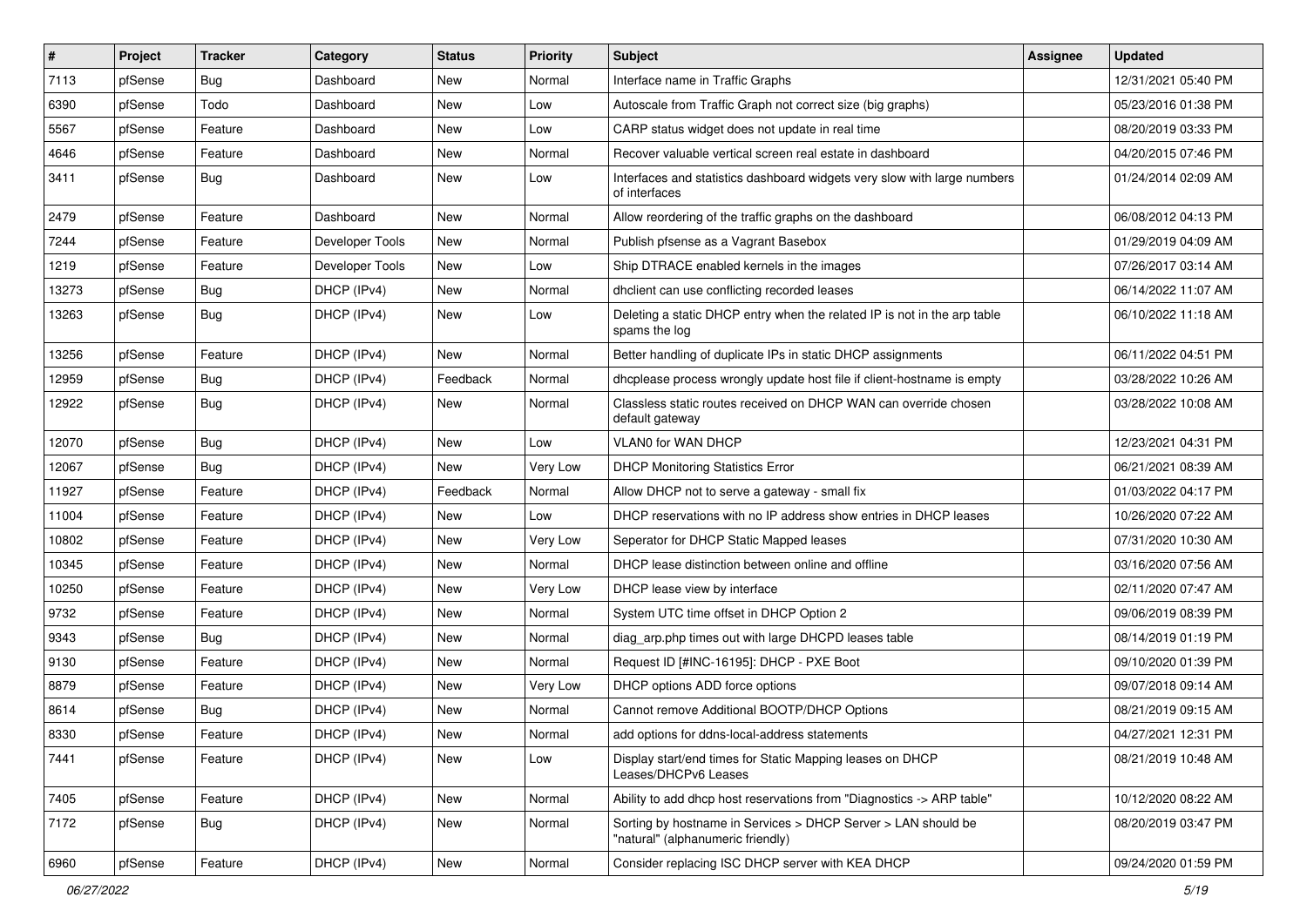| #     | Project | <b>Tracker</b> | Category        | <b>Status</b> | <b>Priority</b> | <b>Subject</b>                                                                                     | <b>Assignee</b> | <b>Updated</b>      |
|-------|---------|----------------|-----------------|---------------|-----------------|----------------------------------------------------------------------------------------------------|-----------------|---------------------|
| 7113  | pfSense | Bug            | Dashboard       | New           | Normal          | Interface name in Traffic Graphs                                                                   |                 | 12/31/2021 05:40 PM |
| 6390  | pfSense | Todo           | Dashboard       | <b>New</b>    | Low             | Autoscale from Traffic Graph not correct size (big graphs)                                         |                 | 05/23/2016 01:38 PM |
| 5567  | pfSense | Feature        | Dashboard       | New           | Low             | CARP status widget does not update in real time                                                    |                 | 08/20/2019 03:33 PM |
| 4646  | pfSense | Feature        | Dashboard       | New           | Normal          | Recover valuable vertical screen real estate in dashboard                                          |                 | 04/20/2015 07:46 PM |
| 3411  | pfSense | Bug            | Dashboard       | New           | Low             | Interfaces and statistics dashboard widgets very slow with large numbers<br>of interfaces          |                 | 01/24/2014 02:09 AM |
| 2479  | pfSense | Feature        | Dashboard       | <b>New</b>    | Normal          | Allow reordering of the traffic graphs on the dashboard                                            |                 | 06/08/2012 04:13 PM |
| 7244  | pfSense | Feature        | Developer Tools | New           | Normal          | Publish pfsense as a Vagrant Basebox                                                               |                 | 01/29/2019 04:09 AM |
| 1219  | pfSense | Feature        | Developer Tools | New           | Low             | Ship DTRACE enabled kernels in the images                                                          |                 | 07/26/2017 03:14 AM |
| 13273 | pfSense | Bug            | DHCP (IPv4)     | New           | Normal          | dhclient can use conflicting recorded leases                                                       |                 | 06/14/2022 11:07 AM |
| 13263 | pfSense | Bug            | DHCP (IPv4)     | New           | Low             | Deleting a static DHCP entry when the related IP is not in the arp table<br>spams the log          |                 | 06/10/2022 11:18 AM |
| 13256 | pfSense | Feature        | DHCP (IPv4)     | <b>New</b>    | Normal          | Better handling of duplicate IPs in static DHCP assignments                                        |                 | 06/11/2022 04:51 PM |
| 12959 | pfSense | Bug            | DHCP (IPv4)     | Feedback      | Normal          | dhcplease process wrongly update host file if client-hostname is empty                             |                 | 03/28/2022 10:26 AM |
| 12922 | pfSense | <b>Bug</b>     | DHCP (IPv4)     | New           | Normal          | Classless static routes received on DHCP WAN can override chosen<br>default gateway                |                 | 03/28/2022 10:08 AM |
| 12070 | pfSense | Bug            | DHCP (IPv4)     | <b>New</b>    | Low             | VLAN0 for WAN DHCP                                                                                 |                 | 12/23/2021 04:31 PM |
| 12067 | pfSense | Bug            | DHCP (IPv4)     | New           | Very Low        | <b>DHCP Monitoring Statistics Error</b>                                                            |                 | 06/21/2021 08:39 AM |
| 11927 | pfSense | Feature        | DHCP (IPv4)     | Feedback      | Normal          | Allow DHCP not to serve a gateway - small fix                                                      |                 | 01/03/2022 04:17 PM |
| 11004 | pfSense | Feature        | DHCP (IPv4)     | New           | Low             | DHCP reservations with no IP address show entries in DHCP leases                                   |                 | 10/26/2020 07:22 AM |
| 10802 | pfSense | Feature        | DHCP (IPv4)     | <b>New</b>    | Very Low        | Seperator for DHCP Static Mapped leases                                                            |                 | 07/31/2020 10:30 AM |
| 10345 | pfSense | Feature        | DHCP (IPv4)     | New           | Normal          | DHCP lease distinction between online and offline                                                  |                 | 03/16/2020 07:56 AM |
| 10250 | pfSense | Feature        | DHCP (IPv4)     | <b>New</b>    | Very Low        | DHCP lease view by interface                                                                       |                 | 02/11/2020 07:47 AM |
| 9732  | pfSense | Feature        | DHCP (IPv4)     | New           | Normal          | System UTC time offset in DHCP Option 2                                                            |                 | 09/06/2019 08:39 PM |
| 9343  | pfSense | Bug            | DHCP (IPv4)     | New           | Normal          | diag_arp.php times out with large DHCPD leases table                                               |                 | 08/14/2019 01:19 PM |
| 9130  | pfSense | Feature        | DHCP (IPv4)     | New           | Normal          | Request ID [#INC-16195]: DHCP - PXE Boot                                                           |                 | 09/10/2020 01:39 PM |
| 8879  | pfSense | Feature        | DHCP (IPv4)     | New           | Very Low        | DHCP options ADD force options                                                                     |                 | 09/07/2018 09:14 AM |
| 8614  | pfSense | <b>Bug</b>     | DHCP (IPv4)     | New           | Normal          | Cannot remove Additional BOOTP/DHCP Options                                                        |                 | 08/21/2019 09:15 AM |
| 8330  | pfSense | Feature        | DHCP (IPv4)     | New           | Normal          | add options for ddns-local-address statements                                                      |                 | 04/27/2021 12:31 PM |
| 7441  | pfSense | Feature        | DHCP (IPv4)     | New           | Low             | Display start/end times for Static Mapping leases on DHCP<br>Leases/DHCPv6 Leases                  |                 | 08/21/2019 10:48 AM |
| 7405  | pfSense | Feature        | DHCP (IPv4)     | New           | Normal          | Ability to add dhcp host reservations from "Diagnostics -> ARP table"                              |                 | 10/12/2020 08:22 AM |
| 7172  | pfSense | Bug            | DHCP (IPv4)     | New           | Normal          | Sorting by hostname in Services > DHCP Server > LAN should be<br>"natural" (alphanumeric friendly) |                 | 08/20/2019 03:47 PM |
| 6960  | pfSense | Feature        | DHCP (IPv4)     | New           | Normal          | Consider replacing ISC DHCP server with KEA DHCP                                                   |                 | 09/24/2020 01:59 PM |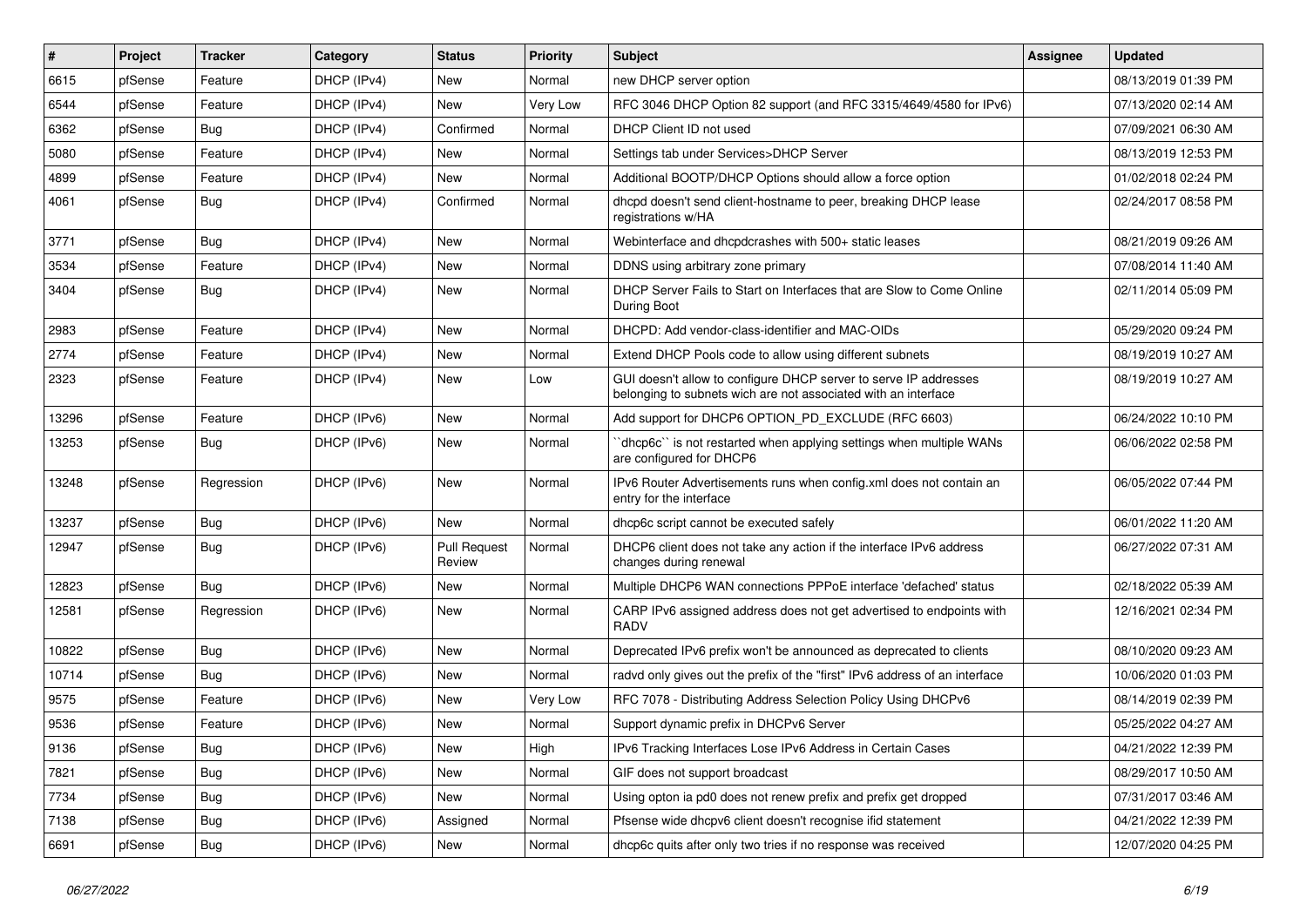| $\vert$ # | Project | <b>Tracker</b> | Category    | <b>Status</b>                 | <b>Priority</b> | Subject                                                                                                                            | Assignee | <b>Updated</b>      |
|-----------|---------|----------------|-------------|-------------------------------|-----------------|------------------------------------------------------------------------------------------------------------------------------------|----------|---------------------|
| 6615      | pfSense | Feature        | DHCP (IPv4) | New                           | Normal          | new DHCP server option                                                                                                             |          | 08/13/2019 01:39 PM |
| 6544      | pfSense | Feature        | DHCP (IPv4) | <b>New</b>                    | Very Low        | RFC 3046 DHCP Option 82 support (and RFC 3315/4649/4580 for IPv6)                                                                  |          | 07/13/2020 02:14 AM |
| 6362      | pfSense | Bug            | DHCP (IPv4) | Confirmed                     | Normal          | DHCP Client ID not used                                                                                                            |          | 07/09/2021 06:30 AM |
| 5080      | pfSense | Feature        | DHCP (IPv4) | <b>New</b>                    | Normal          | Settings tab under Services>DHCP Server                                                                                            |          | 08/13/2019 12:53 PM |
| 4899      | pfSense | Feature        | DHCP (IPv4) | <b>New</b>                    | Normal          | Additional BOOTP/DHCP Options should allow a force option                                                                          |          | 01/02/2018 02:24 PM |
| 4061      | pfSense | Bug            | DHCP (IPv4) | Confirmed                     | Normal          | dhcpd doesn't send client-hostname to peer, breaking DHCP lease<br>registrations w/HA                                              |          | 02/24/2017 08:58 PM |
| 3771      | pfSense | <b>Bug</b>     | DHCP (IPv4) | <b>New</b>                    | Normal          | Webinterface and dhcpdcrashes with 500+ static leases                                                                              |          | 08/21/2019 09:26 AM |
| 3534      | pfSense | Feature        | DHCP (IPv4) | New                           | Normal          | DDNS using arbitrary zone primary                                                                                                  |          | 07/08/2014 11:40 AM |
| 3404      | pfSense | Bug            | DHCP (IPv4) | <b>New</b>                    | Normal          | DHCP Server Fails to Start on Interfaces that are Slow to Come Online<br>During Boot                                               |          | 02/11/2014 05:09 PM |
| 2983      | pfSense | Feature        | DHCP (IPv4) | <b>New</b>                    | Normal          | DHCPD: Add vendor-class-identifier and MAC-OIDs                                                                                    |          | 05/29/2020 09:24 PM |
| 2774      | pfSense | Feature        | DHCP (IPv4) | New                           | Normal          | Extend DHCP Pools code to allow using different subnets                                                                            |          | 08/19/2019 10:27 AM |
| 2323      | pfSense | Feature        | DHCP (IPv4) | <b>New</b>                    | Low             | GUI doesn't allow to configure DHCP server to serve IP addresses<br>belonging to subnets wich are not associated with an interface |          | 08/19/2019 10:27 AM |
| 13296     | pfSense | Feature        | DHCP (IPv6) | <b>New</b>                    | Normal          | Add support for DHCP6 OPTION_PD_EXCLUDE (RFC 6603)                                                                                 |          | 06/24/2022 10:10 PM |
| 13253     | pfSense | Bug            | DHCP (IPv6) | New                           | Normal          | dhcp6c" is not restarted when applying settings when multiple WANs<br>are configured for DHCP6                                     |          | 06/06/2022 02:58 PM |
| 13248     | pfSense | Regression     | DHCP (IPv6) | <b>New</b>                    | Normal          | IPv6 Router Advertisements runs when config.xml does not contain an<br>entry for the interface                                     |          | 06/05/2022 07:44 PM |
| 13237     | pfSense | Bug            | DHCP (IPv6) | <b>New</b>                    | Normal          | dhcp6c script cannot be executed safely                                                                                            |          | 06/01/2022 11:20 AM |
| 12947     | pfSense | Bug            | DHCP (IPv6) | <b>Pull Request</b><br>Review | Normal          | DHCP6 client does not take any action if the interface IPv6 address<br>changes during renewal                                      |          | 06/27/2022 07:31 AM |
| 12823     | pfSense | Bug            | DHCP (IPv6) | <b>New</b>                    | Normal          | Multiple DHCP6 WAN connections PPPoE interface 'defached' status                                                                   |          | 02/18/2022 05:39 AM |
| 12581     | pfSense | Regression     | DHCP (IPv6) | New                           | Normal          | CARP IPv6 assigned address does not get advertised to endpoints with<br><b>RADV</b>                                                |          | 12/16/2021 02:34 PM |
| 10822     | pfSense | Bug            | DHCP (IPv6) | <b>New</b>                    | Normal          | Deprecated IPv6 prefix won't be announced as deprecated to clients                                                                 |          | 08/10/2020 09:23 AM |
| 10714     | pfSense | Bug            | DHCP (IPv6) | <b>New</b>                    | Normal          | radvd only gives out the prefix of the "first" IPv6 address of an interface                                                        |          | 10/06/2020 01:03 PM |
| 9575      | pfSense | Feature        | DHCP (IPv6) | New                           | Very Low        | RFC 7078 - Distributing Address Selection Policy Using DHCPv6                                                                      |          | 08/14/2019 02:39 PM |
| 9536      | pfSense | Feature        | DHCP (IPv6) | New                           | Normal          | Support dynamic prefix in DHCPv6 Server                                                                                            |          | 05/25/2022 04:27 AM |
| 9136      | pfSense | <b>Bug</b>     | DHCP (IPv6) | New                           | High            | IPv6 Tracking Interfaces Lose IPv6 Address in Certain Cases                                                                        |          | 04/21/2022 12:39 PM |
| 7821      | pfSense | <b>Bug</b>     | DHCP (IPv6) | New                           | Normal          | GIF does not support broadcast                                                                                                     |          | 08/29/2017 10:50 AM |
| 7734      | pfSense | <b>Bug</b>     | DHCP (IPv6) | New                           | Normal          | Using opton ia pd0 does not renew prefix and prefix get dropped                                                                    |          | 07/31/2017 03:46 AM |
| 7138      | pfSense | <b>Bug</b>     | DHCP (IPv6) | Assigned                      | Normal          | Pfsense wide dhcpv6 client doesn't recognise ifid statement                                                                        |          | 04/21/2022 12:39 PM |
| 6691      | pfSense | Bug            | DHCP (IPv6) | New                           | Normal          | dhcp6c quits after only two tries if no response was received                                                                      |          | 12/07/2020 04:25 PM |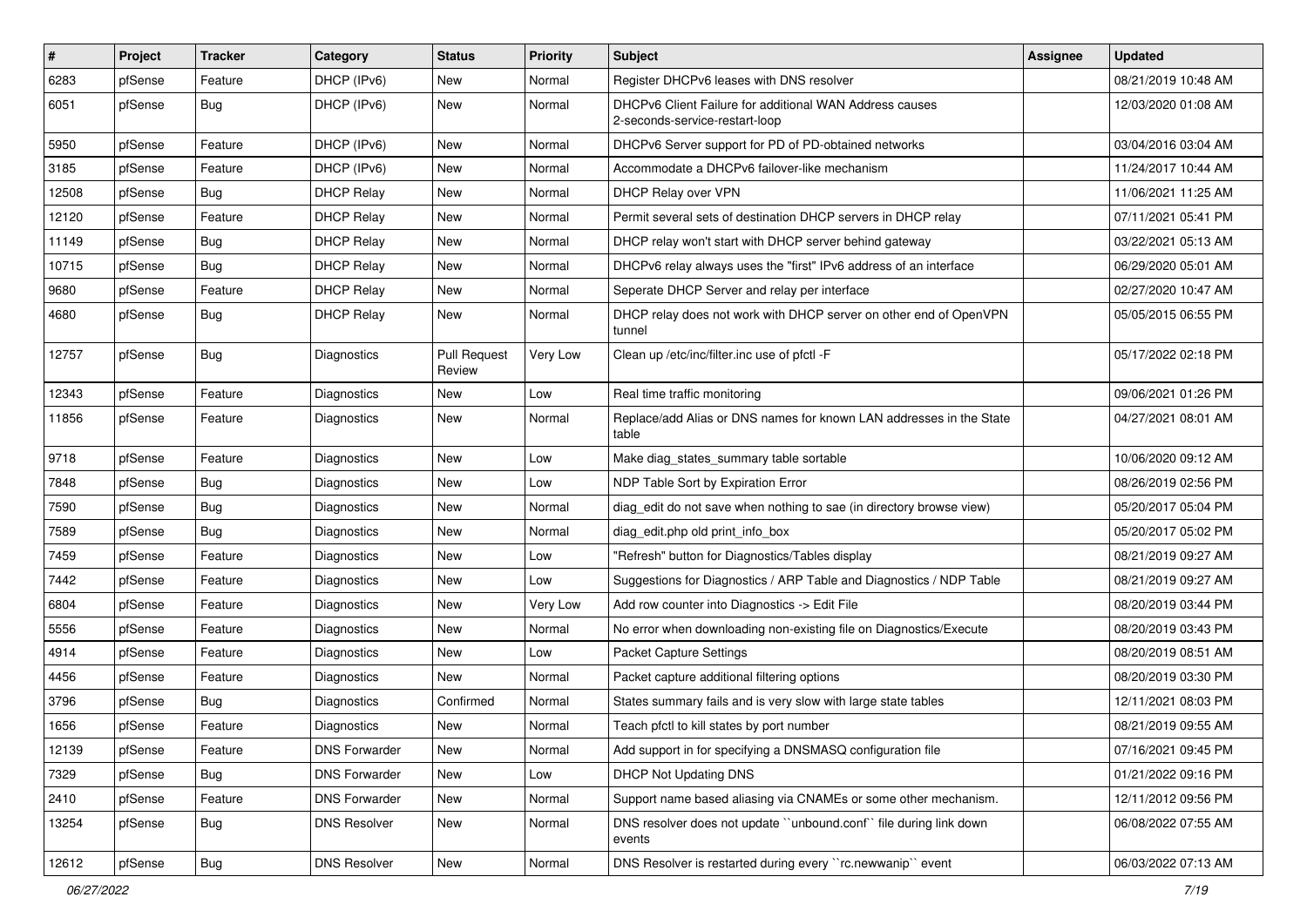| $\vert$ # | Project | <b>Tracker</b> | Category             | <b>Status</b>                 | <b>Priority</b> | Subject                                                                                   | <b>Assignee</b> | <b>Updated</b>      |
|-----------|---------|----------------|----------------------|-------------------------------|-----------------|-------------------------------------------------------------------------------------------|-----------------|---------------------|
| 6283      | pfSense | Feature        | DHCP (IPv6)          | New                           | Normal          | Register DHCPv6 leases with DNS resolver                                                  |                 | 08/21/2019 10:48 AM |
| 6051      | pfSense | Bug            | DHCP (IPv6)          | <b>New</b>                    | Normal          | DHCPv6 Client Failure for additional WAN Address causes<br>2-seconds-service-restart-loop |                 | 12/03/2020 01:08 AM |
| 5950      | pfSense | Feature        | DHCP (IPv6)          | <b>New</b>                    | Normal          | DHCPv6 Server support for PD of PD-obtained networks                                      |                 | 03/04/2016 03:04 AM |
| 3185      | pfSense | Feature        | DHCP (IPv6)          | <b>New</b>                    | Normal          | Accommodate a DHCPv6 failover-like mechanism                                              |                 | 11/24/2017 10:44 AM |
| 12508     | pfSense | Bug            | <b>DHCP Relay</b>    | <b>New</b>                    | Normal          | DHCP Relay over VPN                                                                       |                 | 11/06/2021 11:25 AM |
| 12120     | pfSense | Feature        | <b>DHCP Relay</b>    | New                           | Normal          | Permit several sets of destination DHCP servers in DHCP relay                             |                 | 07/11/2021 05:41 PM |
| 11149     | pfSense | Bug            | <b>DHCP Relay</b>    | New                           | Normal          | DHCP relay won't start with DHCP server behind gateway                                    |                 | 03/22/2021 05:13 AM |
| 10715     | pfSense | Bug            | <b>DHCP Relay</b>    | New                           | Normal          | DHCPv6 relay always uses the "first" IPv6 address of an interface                         |                 | 06/29/2020 05:01 AM |
| 9680      | pfSense | Feature        | <b>DHCP Relay</b>    | <b>New</b>                    | Normal          | Seperate DHCP Server and relay per interface                                              |                 | 02/27/2020 10:47 AM |
| 4680      | pfSense | Bug            | <b>DHCP Relay</b>    | New                           | Normal          | DHCP relay does not work with DHCP server on other end of OpenVPN<br>tunnel               |                 | 05/05/2015 06:55 PM |
| 12757     | pfSense | Bug            | Diagnostics          | <b>Pull Request</b><br>Review | Very Low        | Clean up /etc/inc/filter.inc use of pfctl -F                                              |                 | 05/17/2022 02:18 PM |
| 12343     | pfSense | Feature        | Diagnostics          | New                           | Low             | Real time traffic monitoring                                                              |                 | 09/06/2021 01:26 PM |
| 11856     | pfSense | Feature        | Diagnostics          | New                           | Normal          | Replace/add Alias or DNS names for known LAN addresses in the State<br>table              |                 | 04/27/2021 08:01 AM |
| 9718      | pfSense | Feature        | Diagnostics          | <b>New</b>                    | Low             | Make diag_states_summary table sortable                                                   |                 | 10/06/2020 09:12 AM |
| 7848      | pfSense | Bug            | Diagnostics          | New                           | Low             | NDP Table Sort by Expiration Error                                                        |                 | 08/26/2019 02:56 PM |
| 7590      | pfSense | Bug            | Diagnostics          | New                           | Normal          | diag_edit do not save when nothing to sae (in directory browse view)                      |                 | 05/20/2017 05:04 PM |
| 7589      | pfSense | Bug            | Diagnostics          | New                           | Normal          | diag_edit.php old print_info_box                                                          |                 | 05/20/2017 05:02 PM |
| 7459      | pfSense | Feature        | Diagnostics          | New                           | Low             | "Refresh" button for Diagnostics/Tables display                                           |                 | 08/21/2019 09:27 AM |
| 7442      | pfSense | Feature        | Diagnostics          | New                           | Low             | Suggestions for Diagnostics / ARP Table and Diagnostics / NDP Table                       |                 | 08/21/2019 09:27 AM |
| 6804      | pfSense | Feature        | Diagnostics          | <b>New</b>                    | Very Low        | Add row counter into Diagnostics -> Edit File                                             |                 | 08/20/2019 03:44 PM |
| 5556      | pfSense | Feature        | Diagnostics          | New                           | Normal          | No error when downloading non-existing file on Diagnostics/Execute                        |                 | 08/20/2019 03:43 PM |
| 4914      | pfSense | Feature        | Diagnostics          | New                           | Low             | <b>Packet Capture Settings</b>                                                            |                 | 08/20/2019 08:51 AM |
| 4456      | pfSense | Feature        | Diagnostics          | <b>New</b>                    | Normal          | Packet capture additional filtering options                                               |                 | 08/20/2019 03:30 PM |
| 3796      | pfSense | Bug            | Diagnostics          | Confirmed                     | Normal          | States summary fails and is very slow with large state tables                             |                 | 12/11/2021 08:03 PM |
| 1656      | pfSense | Feature        | <b>Diagnostics</b>   | New                           | Normal          | Teach pfctl to kill states by port number                                                 |                 | 08/21/2019 09:55 AM |
| 12139     | pfSense | Feature        | <b>DNS Forwarder</b> | New                           | Normal          | Add support in for specifying a DNSMASQ configuration file                                |                 | 07/16/2021 09:45 PM |
| 7329      | pfSense | Bug            | <b>DNS Forwarder</b> | New                           | Low             | <b>DHCP Not Updating DNS</b>                                                              |                 | 01/21/2022 09:16 PM |
| 2410      | pfSense | Feature        | <b>DNS Forwarder</b> | New                           | Normal          | Support name based aliasing via CNAMEs or some other mechanism.                           |                 | 12/11/2012 09:56 PM |
| 13254     | pfSense | <b>Bug</b>     | <b>DNS Resolver</b>  | New                           | Normal          | DNS resolver does not update "unbound.conf" file during link down<br>events               |                 | 06/08/2022 07:55 AM |
| 12612     | pfSense | <b>Bug</b>     | <b>DNS Resolver</b>  | New                           | Normal          | DNS Resolver is restarted during every "rc.newwanip" event                                |                 | 06/03/2022 07:13 AM |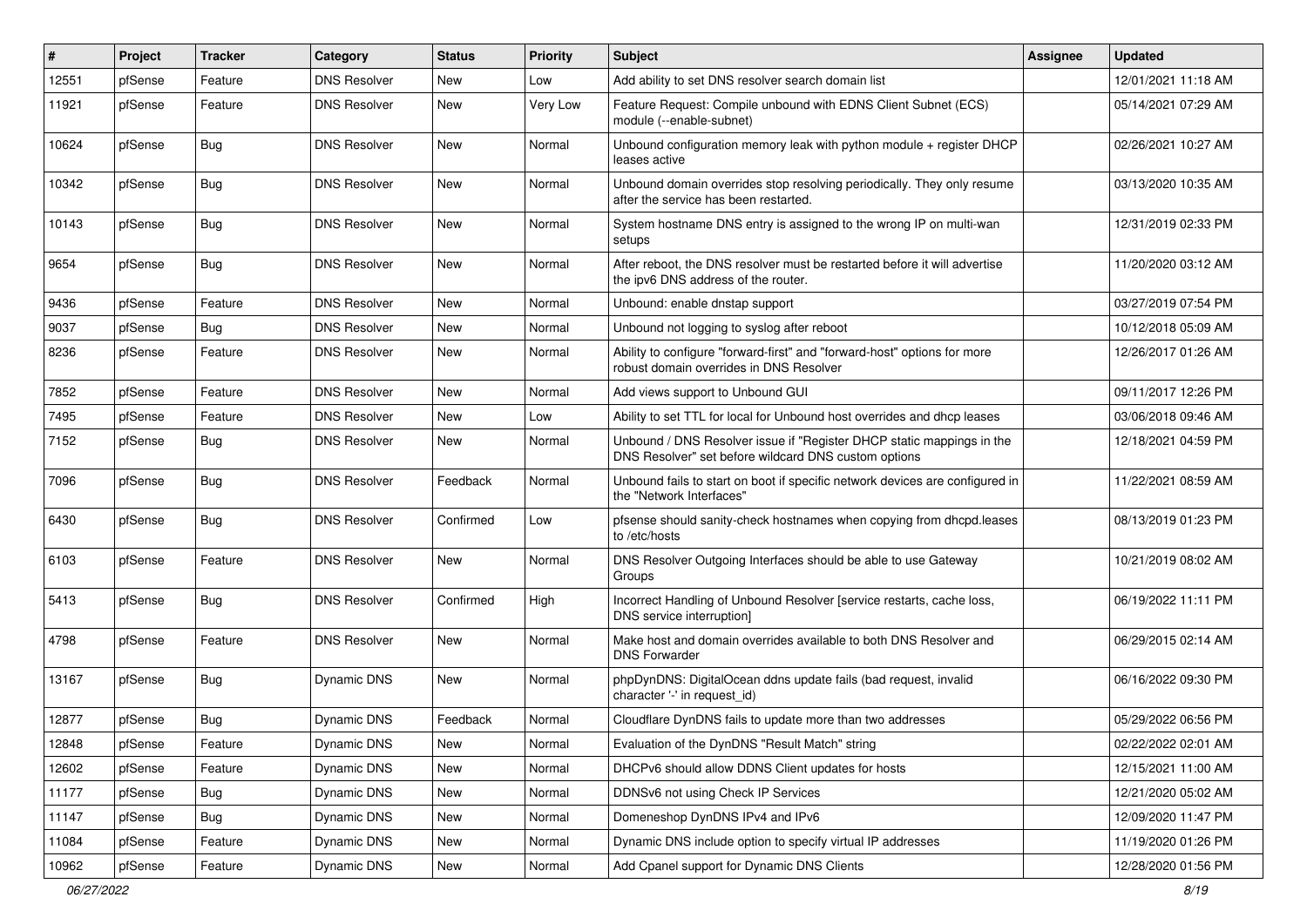| $\#$  | Project | <b>Tracker</b> | Category            | <b>Status</b> | <b>Priority</b> | <b>Subject</b>                                                                                                                | <b>Assignee</b> | <b>Updated</b>      |
|-------|---------|----------------|---------------------|---------------|-----------------|-------------------------------------------------------------------------------------------------------------------------------|-----------------|---------------------|
| 12551 | pfSense | Feature        | <b>DNS Resolver</b> | New           | Low             | Add ability to set DNS resolver search domain list                                                                            |                 | 12/01/2021 11:18 AM |
| 11921 | pfSense | Feature        | <b>DNS Resolver</b> | <b>New</b>    | Very Low        | Feature Request: Compile unbound with EDNS Client Subnet (ECS)<br>module (--enable-subnet)                                    |                 | 05/14/2021 07:29 AM |
| 10624 | pfSense | Bug            | <b>DNS Resolver</b> | <b>New</b>    | Normal          | Unbound configuration memory leak with python module + register DHCP<br>leases active                                         |                 | 02/26/2021 10:27 AM |
| 10342 | pfSense | <b>Bug</b>     | <b>DNS Resolver</b> | <b>New</b>    | Normal          | Unbound domain overrides stop resolving periodically. They only resume<br>after the service has been restarted.               |                 | 03/13/2020 10:35 AM |
| 10143 | pfSense | <b>Bug</b>     | <b>DNS Resolver</b> | <b>New</b>    | Normal          | System hostname DNS entry is assigned to the wrong IP on multi-wan<br>setups                                                  |                 | 12/31/2019 02:33 PM |
| 9654  | pfSense | Bug            | <b>DNS Resolver</b> | New           | Normal          | After reboot, the DNS resolver must be restarted before it will advertise<br>the ipv6 DNS address of the router.              |                 | 11/20/2020 03:12 AM |
| 9436  | pfSense | Feature        | <b>DNS Resolver</b> | <b>New</b>    | Normal          | Unbound: enable dnstap support                                                                                                |                 | 03/27/2019 07:54 PM |
| 9037  | pfSense | Bug            | <b>DNS Resolver</b> | <b>New</b>    | Normal          | Unbound not logging to syslog after reboot                                                                                    |                 | 10/12/2018 05:09 AM |
| 8236  | pfSense | Feature        | <b>DNS Resolver</b> | New           | Normal          | Ability to configure "forward-first" and "forward-host" options for more<br>robust domain overrides in DNS Resolver           |                 | 12/26/2017 01:26 AM |
| 7852  | pfSense | Feature        | <b>DNS Resolver</b> | <b>New</b>    | Normal          | Add views support to Unbound GUI                                                                                              |                 | 09/11/2017 12:26 PM |
| 7495  | pfSense | Feature        | <b>DNS Resolver</b> | <b>New</b>    | Low             | Ability to set TTL for local for Unbound host overrides and dhcp leases                                                       |                 | 03/06/2018 09:46 AM |
| 7152  | pfSense | <b>Bug</b>     | <b>DNS Resolver</b> | New           | Normal          | Unbound / DNS Resolver issue if "Register DHCP static mappings in the<br>DNS Resolver" set before wildcard DNS custom options |                 | 12/18/2021 04:59 PM |
| 7096  | pfSense | <b>Bug</b>     | <b>DNS Resolver</b> | Feedback      | Normal          | Unbound fails to start on boot if specific network devices are configured in<br>the "Network Interfaces"                      |                 | 11/22/2021 08:59 AM |
| 6430  | pfSense | Bug            | <b>DNS Resolver</b> | Confirmed     | Low             | pfsense should sanity-check hostnames when copying from dhcpd.leases<br>to /etc/hosts                                         |                 | 08/13/2019 01:23 PM |
| 6103  | pfSense | Feature        | <b>DNS Resolver</b> | New           | Normal          | DNS Resolver Outgoing Interfaces should be able to use Gateway<br>Groups                                                      |                 | 10/21/2019 08:02 AM |
| 5413  | pfSense | Bug            | <b>DNS Resolver</b> | Confirmed     | High            | Incorrect Handling of Unbound Resolver [service restarts, cache loss,<br>DNS service interruption]                            |                 | 06/19/2022 11:11 PM |
| 4798  | pfSense | Feature        | <b>DNS Resolver</b> | <b>New</b>    | Normal          | Make host and domain overrides available to both DNS Resolver and<br><b>DNS Forwarder</b>                                     |                 | 06/29/2015 02:14 AM |
| 13167 | pfSense | <b>Bug</b>     | Dynamic DNS         | New           | Normal          | phpDynDNS: DigitalOcean ddns update fails (bad request, invalid<br>character '-' in request_id)                               |                 | 06/16/2022 09:30 PM |
| 12877 | pfSense | Bug            | Dynamic DNS         | Feedback      | Normal          | Cloudflare DynDNS fails to update more than two addresses                                                                     |                 | 05/29/2022 06:56 PM |
| 12848 | pfSense | Feature        | Dynamic DNS         | New           | Normal          | Evaluation of the DynDNS "Result Match" string                                                                                |                 | 02/22/2022 02:01 AM |
| 12602 | pfSense | Feature        | Dynamic DNS         | New           | Normal          | DHCPv6 should allow DDNS Client updates for hosts                                                                             |                 | 12/15/2021 11:00 AM |
| 11177 | pfSense | <b>Bug</b>     | Dynamic DNS         | New           | Normal          | DDNSv6 not using Check IP Services                                                                                            |                 | 12/21/2020 05:02 AM |
| 11147 | pfSense | <b>Bug</b>     | Dynamic DNS         | New           | Normal          | Domeneshop DynDNS IPv4 and IPv6                                                                                               |                 | 12/09/2020 11:47 PM |
| 11084 | pfSense | Feature        | Dynamic DNS         | New           | Normal          | Dynamic DNS include option to specify virtual IP addresses                                                                    |                 | 11/19/2020 01:26 PM |
| 10962 | pfSense | Feature        | Dynamic DNS         | New           | Normal          | Add Cpanel support for Dynamic DNS Clients                                                                                    |                 | 12/28/2020 01:56 PM |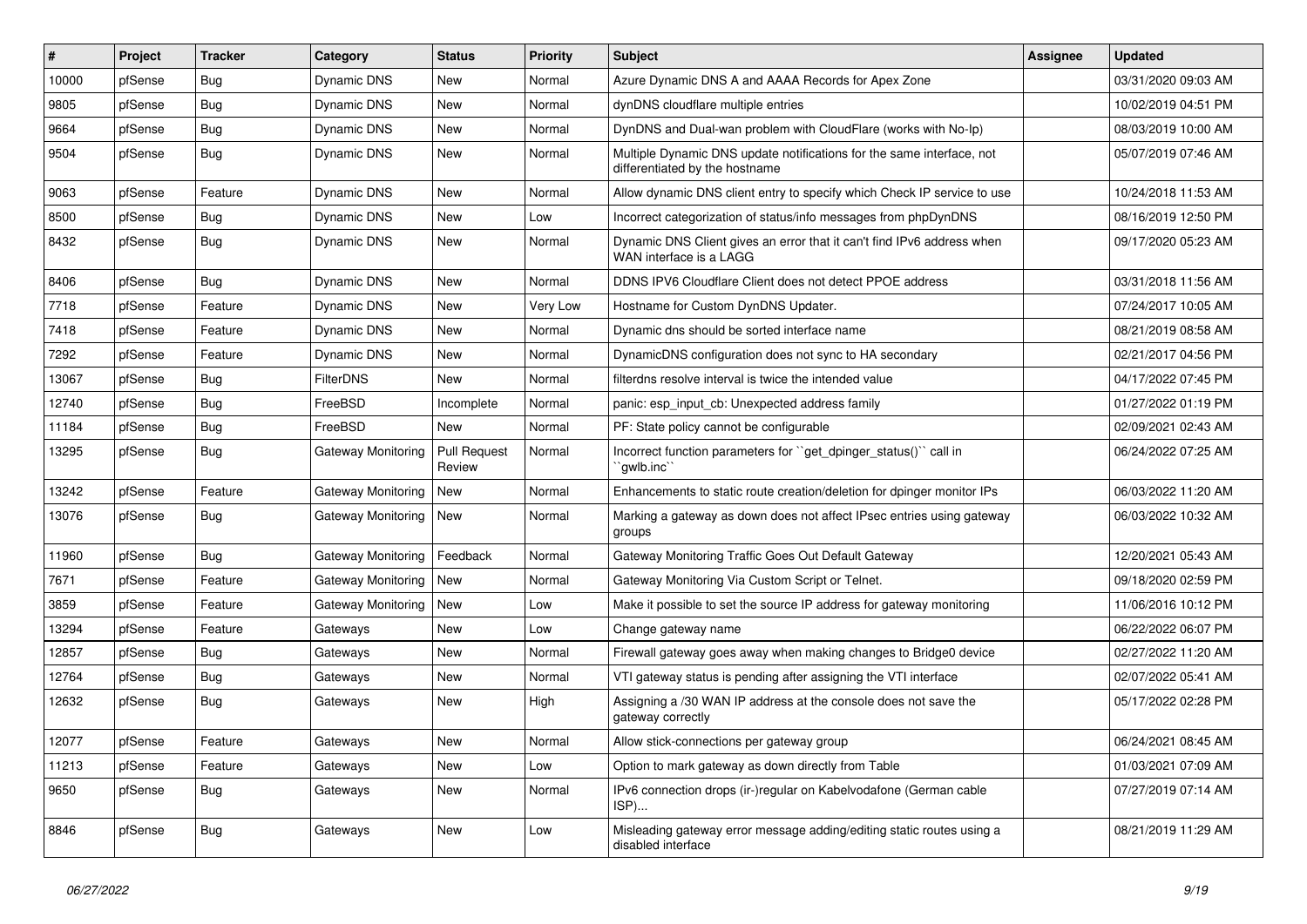| #     | Project | <b>Tracker</b> | Category                  | <b>Status</b>                 | <b>Priority</b> | <b>Subject</b>                                                                                          | <b>Assignee</b> | <b>Updated</b>      |
|-------|---------|----------------|---------------------------|-------------------------------|-----------------|---------------------------------------------------------------------------------------------------------|-----------------|---------------------|
| 10000 | pfSense | <b>Bug</b>     | Dynamic DNS               | New                           | Normal          | Azure Dynamic DNS A and AAAA Records for Apex Zone                                                      |                 | 03/31/2020 09:03 AM |
| 9805  | pfSense | Bug            | <b>Dynamic DNS</b>        | New                           | Normal          | dynDNS cloudflare multiple entries                                                                      |                 | 10/02/2019 04:51 PM |
| 9664  | pfSense | <b>Bug</b>     | Dynamic DNS               | New                           | Normal          | DynDNS and Dual-wan problem with CloudFlare (works with No-Ip)                                          |                 | 08/03/2019 10:00 AM |
| 9504  | pfSense | <b>Bug</b>     | Dynamic DNS               | New                           | Normal          | Multiple Dynamic DNS update notifications for the same interface, not<br>differentiated by the hostname |                 | 05/07/2019 07:46 AM |
| 9063  | pfSense | Feature        | Dynamic DNS               | <b>New</b>                    | Normal          | Allow dynamic DNS client entry to specify which Check IP service to use                                 |                 | 10/24/2018 11:53 AM |
| 8500  | pfSense | Bug            | Dynamic DNS               | <b>New</b>                    | Low             | Incorrect categorization of status/info messages from phpDynDNS                                         |                 | 08/16/2019 12:50 PM |
| 8432  | pfSense | Bug            | Dynamic DNS               | <b>New</b>                    | Normal          | Dynamic DNS Client gives an error that it can't find IPv6 address when<br>WAN interface is a LAGG       |                 | 09/17/2020 05:23 AM |
| 8406  | pfSense | Bug            | Dynamic DNS               | <b>New</b>                    | Normal          | DDNS IPV6 Cloudflare Client does not detect PPOE address                                                |                 | 03/31/2018 11:56 AM |
| 7718  | pfSense | Feature        | Dynamic DNS               | New                           | Very Low        | Hostname for Custom DynDNS Updater.                                                                     |                 | 07/24/2017 10:05 AM |
| 7418  | pfSense | Feature        | Dynamic DNS               | <b>New</b>                    | Normal          | Dynamic dns should be sorted interface name                                                             |                 | 08/21/2019 08:58 AM |
| 7292  | pfSense | Feature        | <b>Dynamic DNS</b>        | New                           | Normal          | DynamicDNS configuration does not sync to HA secondary                                                  |                 | 02/21/2017 04:56 PM |
| 13067 | pfSense | Bug            | <b>FilterDNS</b>          | <b>New</b>                    | Normal          | filterdns resolve interval is twice the intended value                                                  |                 | 04/17/2022 07:45 PM |
| 12740 | pfSense | Bug            | FreeBSD                   | Incomplete                    | Normal          | panic: esp input cb: Unexpected address family                                                          |                 | 01/27/2022 01:19 PM |
| 11184 | pfSense | <b>Bug</b>     | FreeBSD                   | New                           | Normal          | PF: State policy cannot be configurable                                                                 |                 | 02/09/2021 02:43 AM |
| 13295 | pfSense | <b>Bug</b>     | Gateway Monitoring        | <b>Pull Request</b><br>Review | Normal          | Incorrect function parameters for "get_dpinger_status()" call in<br>`gwlb.inc``                         |                 | 06/24/2022 07:25 AM |
| 13242 | pfSense | Feature        | <b>Gateway Monitoring</b> | New                           | Normal          | Enhancements to static route creation/deletion for dpinger monitor IPs                                  |                 | 06/03/2022 11:20 AM |
| 13076 | pfSense | <b>Bug</b>     | Gateway Monitoring        | <b>New</b>                    | Normal          | Marking a gateway as down does not affect IPsec entries using gateway<br>groups                         |                 | 06/03/2022 10:32 AM |
| 11960 | pfSense | Bug            | Gateway Monitoring        | Feedback                      | Normal          | Gateway Monitoring Traffic Goes Out Default Gateway                                                     |                 | 12/20/2021 05:43 AM |
| 7671  | pfSense | Feature        | <b>Gateway Monitoring</b> | New                           | Normal          | Gateway Monitoring Via Custom Script or Telnet.                                                         |                 | 09/18/2020 02:59 PM |
| 3859  | pfSense | Feature        | Gateway Monitoring        | New                           | Low             | Make it possible to set the source IP address for gateway monitoring                                    |                 | 11/06/2016 10:12 PM |
| 13294 | pfSense | Feature        | Gateways                  | <b>New</b>                    | Low             | Change gateway name                                                                                     |                 | 06/22/2022 06:07 PM |
| 12857 | pfSense | Bug            | Gateways                  | <b>New</b>                    | Normal          | Firewall gateway goes away when making changes to Bridge0 device                                        |                 | 02/27/2022 11:20 AM |
| 12764 | pfSense | <b>Bug</b>     | Gateways                  | <b>New</b>                    | Normal          | VTI gateway status is pending after assigning the VTI interface                                         |                 | 02/07/2022 05:41 AM |
| 12632 | pfSense | <b>Bug</b>     | Gateways                  | New                           | High            | Assigning a /30 WAN IP address at the console does not save the<br>gateway correctly                    |                 | 05/17/2022 02:28 PM |
| 12077 | pfSense | Feature        | Gateways                  | New                           | Normal          | Allow stick-connections per gateway group                                                               |                 | 06/24/2021 08:45 AM |
| 11213 | pfSense | Feature        | Gateways                  | New                           | Low             | Option to mark gateway as down directly from Table                                                      |                 | 01/03/2021 07:09 AM |
| 9650  | pfSense | <b>Bug</b>     | Gateways                  | New                           | Normal          | IPv6 connection drops (ir-)regular on Kabelvodafone (German cable<br>ISP)                               |                 | 07/27/2019 07:14 AM |
| 8846  | pfSense | <b>Bug</b>     | Gateways                  | New                           | Low             | Misleading gateway error message adding/editing static routes using a<br>disabled interface             |                 | 08/21/2019 11:29 AM |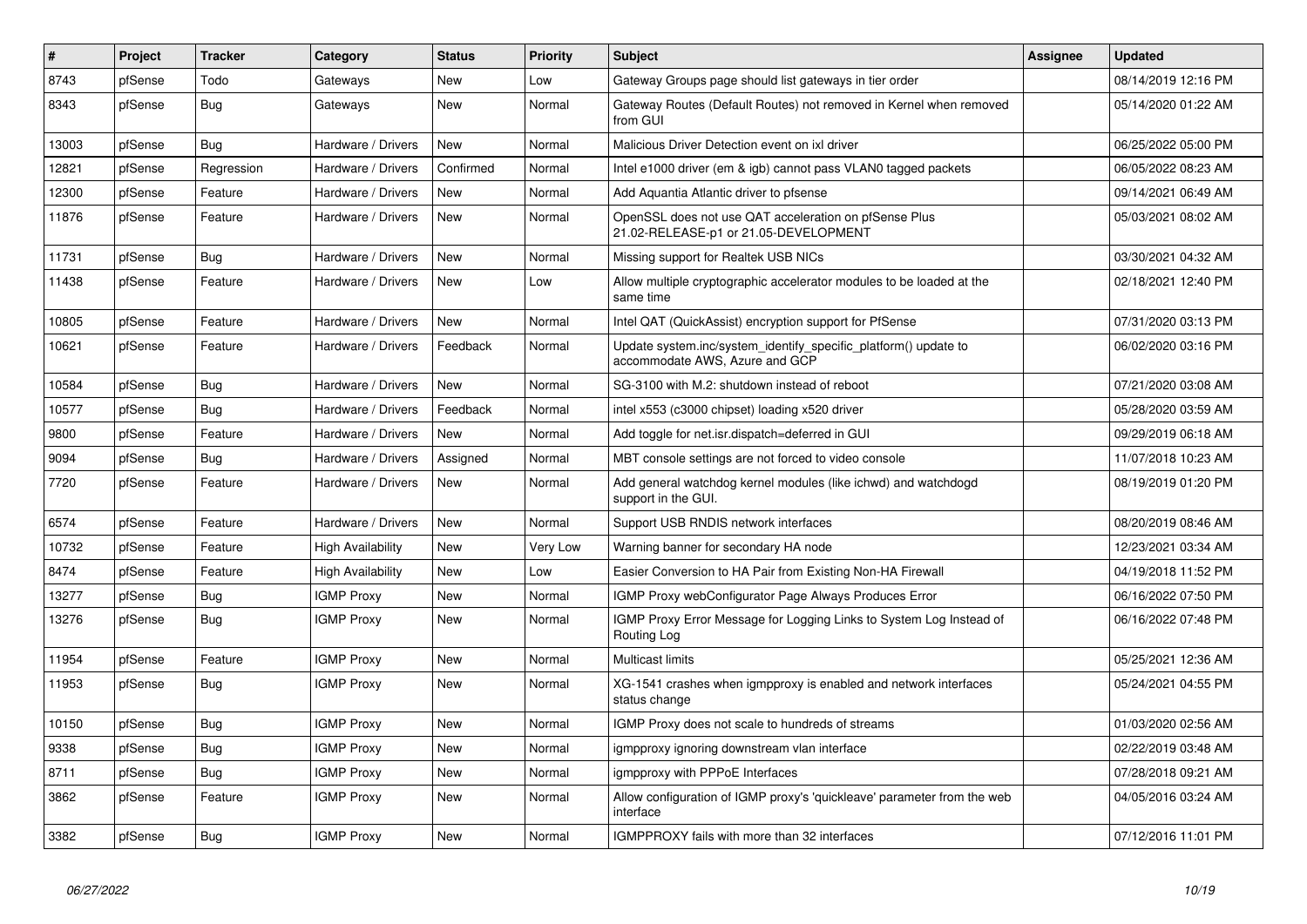| #     | <b>Project</b> | <b>Tracker</b> | Category                 | <b>Status</b> | Priority | <b>Subject</b>                                                                                    | <b>Assignee</b> | <b>Updated</b>      |
|-------|----------------|----------------|--------------------------|---------------|----------|---------------------------------------------------------------------------------------------------|-----------------|---------------------|
| 8743  | pfSense        | Todo           | Gateways                 | <b>New</b>    | Low      | Gateway Groups page should list gateways in tier order                                            |                 | 08/14/2019 12:16 PM |
| 8343  | pfSense        | <b>Bug</b>     | Gateways                 | <b>New</b>    | Normal   | Gateway Routes (Default Routes) not removed in Kernel when removed<br>from GUI                    |                 | 05/14/2020 01:22 AM |
| 13003 | pfSense        | Bug            | Hardware / Drivers       | <b>New</b>    | Normal   | Malicious Driver Detection event on ixl driver                                                    |                 | 06/25/2022 05:00 PM |
| 12821 | pfSense        | Regression     | Hardware / Drivers       | Confirmed     | Normal   | Intel e1000 driver (em & igb) cannot pass VLAN0 tagged packets                                    |                 | 06/05/2022 08:23 AM |
| 12300 | pfSense        | Feature        | Hardware / Drivers       | New           | Normal   | Add Aquantia Atlantic driver to pfsense                                                           |                 | 09/14/2021 06:49 AM |
| 11876 | pfSense        | Feature        | Hardware / Drivers       | <b>New</b>    | Normal   | OpenSSL does not use QAT acceleration on pfSense Plus<br>21.02-RELEASE-p1 or 21.05-DEVELOPMENT    |                 | 05/03/2021 08:02 AM |
| 11731 | pfSense        | Bug            | Hardware / Drivers       | <b>New</b>    | Normal   | Missing support for Realtek USB NICs                                                              |                 | 03/30/2021 04:32 AM |
| 11438 | pfSense        | Feature        | Hardware / Drivers       | New           | Low      | Allow multiple cryptographic accelerator modules to be loaded at the<br>same time                 |                 | 02/18/2021 12:40 PM |
| 10805 | pfSense        | Feature        | Hardware / Drivers       | <b>New</b>    | Normal   | Intel QAT (QuickAssist) encryption support for PfSense                                            |                 | 07/31/2020 03:13 PM |
| 10621 | pfSense        | Feature        | Hardware / Drivers       | Feedback      | Normal   | Update system.inc/system_identify_specific_platform() update to<br>accommodate AWS. Azure and GCP |                 | 06/02/2020 03:16 PM |
| 10584 | pfSense        | Bug            | Hardware / Drivers       | <b>New</b>    | Normal   | SG-3100 with M.2: shutdown instead of reboot                                                      |                 | 07/21/2020 03:08 AM |
| 10577 | pfSense        | Bug            | Hardware / Drivers       | Feedback      | Normal   | intel x553 (c3000 chipset) loading x520 driver                                                    |                 | 05/28/2020 03:59 AM |
| 9800  | pfSense        | Feature        | Hardware / Drivers       | <b>New</b>    | Normal   | Add toggle for net.isr.dispatch=deferred in GUI                                                   |                 | 09/29/2019 06:18 AM |
| 9094  | pfSense        | <b>Bug</b>     | Hardware / Drivers       | Assigned      | Normal   | MBT console settings are not forced to video console                                              |                 | 11/07/2018 10:23 AM |
| 7720  | pfSense        | Feature        | Hardware / Drivers       | <b>New</b>    | Normal   | Add general watchdog kernel modules (like ichwd) and watchdogd<br>support in the GUI.             |                 | 08/19/2019 01:20 PM |
| 6574  | pfSense        | Feature        | Hardware / Drivers       | <b>New</b>    | Normal   | Support USB RNDIS network interfaces                                                              |                 | 08/20/2019 08:46 AM |
| 10732 | pfSense        | Feature        | <b>High Availability</b> | <b>New</b>    | Very Low | Warning banner for secondary HA node                                                              |                 | 12/23/2021 03:34 AM |
| 8474  | pfSense        | Feature        | High Availability        | <b>New</b>    | Low      | Easier Conversion to HA Pair from Existing Non-HA Firewall                                        |                 | 04/19/2018 11:52 PM |
| 13277 | pfSense        | <b>Bug</b>     | <b>IGMP Proxy</b>        | <b>New</b>    | Normal   | IGMP Proxy webConfigurator Page Always Produces Error                                             |                 | 06/16/2022 07:50 PM |
| 13276 | pfSense        | <b>Bug</b>     | <b>IGMP Proxy</b>        | <b>New</b>    | Normal   | IGMP Proxy Error Message for Logging Links to System Log Instead of<br>Routing Log                |                 | 06/16/2022 07:48 PM |
| 11954 | pfSense        | Feature        | <b>IGMP Proxy</b>        | New           | Normal   | Multicast limits                                                                                  |                 | 05/25/2021 12:36 AM |
| 11953 | pfSense        | <b>Bug</b>     | <b>IGMP Proxy</b>        | <b>New</b>    | Normal   | XG-1541 crashes when igmpproxy is enabled and network interfaces<br>status change                 |                 | 05/24/2021 04:55 PM |
| 10150 | pfSense        | Bug            | <b>IGMP Proxy</b>        | New           | Normal   | IGMP Proxy does not scale to hundreds of streams                                                  |                 | 01/03/2020 02:56 AM |
| 9338  | pfSense        | <b>Bug</b>     | <b>IGMP Proxy</b>        | New           | Normal   | igmpproxy ignoring downstream vlan interface                                                      |                 | 02/22/2019 03:48 AM |
| 8711  | pfSense        | Bug            | <b>IGMP Proxy</b>        | New           | Normal   | igmpproxy with PPPoE Interfaces                                                                   |                 | 07/28/2018 09:21 AM |
| 3862  | pfSense        | Feature        | <b>IGMP Proxy</b>        | New           | Normal   | Allow configuration of IGMP proxy's 'quickleave' parameter from the web<br>interface              |                 | 04/05/2016 03:24 AM |
| 3382  | pfSense        | <b>Bug</b>     | <b>IGMP Proxy</b>        | New           | Normal   | IGMPPROXY fails with more than 32 interfaces                                                      |                 | 07/12/2016 11:01 PM |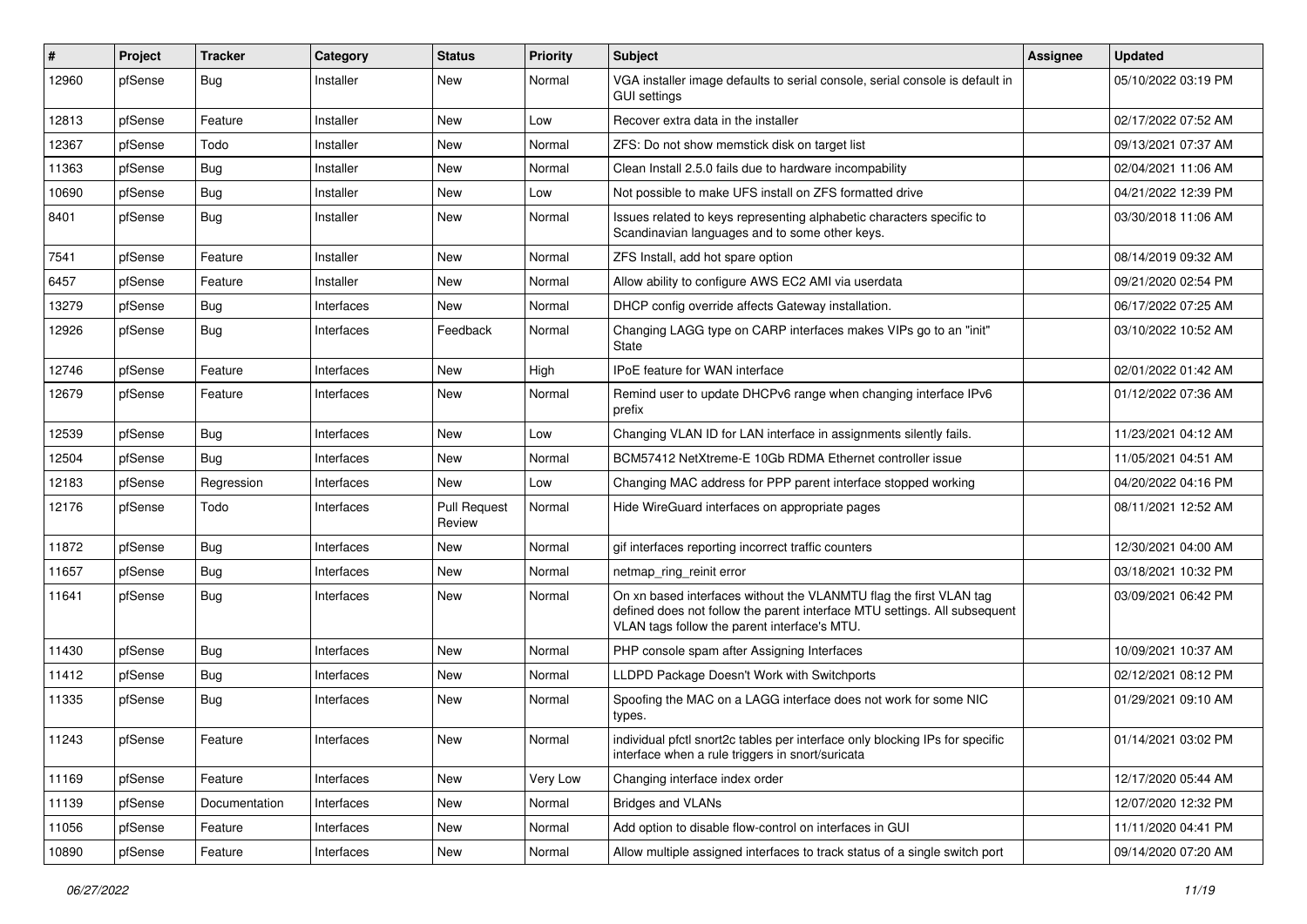| #     | Project | <b>Tracker</b> | Category   | <b>Status</b>                 | <b>Priority</b> | <b>Subject</b>                                                                                                                                                                                  | Assignee | <b>Updated</b>      |
|-------|---------|----------------|------------|-------------------------------|-----------------|-------------------------------------------------------------------------------------------------------------------------------------------------------------------------------------------------|----------|---------------------|
| 12960 | pfSense | <b>Bug</b>     | Installer  | <b>New</b>                    | Normal          | VGA installer image defaults to serial console, serial console is default in<br><b>GUI settings</b>                                                                                             |          | 05/10/2022 03:19 PM |
| 12813 | pfSense | Feature        | Installer  | <b>New</b>                    | Low             | Recover extra data in the installer                                                                                                                                                             |          | 02/17/2022 07:52 AM |
| 12367 | pfSense | Todo           | Installer  | New                           | Normal          | ZFS: Do not show memstick disk on target list                                                                                                                                                   |          | 09/13/2021 07:37 AM |
| 11363 | pfSense | <b>Bug</b>     | Installer  | <b>New</b>                    | Normal          | Clean Install 2.5.0 fails due to hardware incompability                                                                                                                                         |          | 02/04/2021 11:06 AM |
| 10690 | pfSense | <b>Bug</b>     | Installer  | New                           | Low             | Not possible to make UFS install on ZFS formatted drive                                                                                                                                         |          | 04/21/2022 12:39 PM |
| 8401  | pfSense | <b>Bug</b>     | Installer  | <b>New</b>                    | Normal          | Issues related to keys representing alphabetic characters specific to<br>Scandinavian languages and to some other keys.                                                                         |          | 03/30/2018 11:06 AM |
| 7541  | pfSense | Feature        | Installer  | New                           | Normal          | ZFS Install, add hot spare option                                                                                                                                                               |          | 08/14/2019 09:32 AM |
| 6457  | pfSense | Feature        | Installer  | New                           | Normal          | Allow ability to configure AWS EC2 AMI via userdata                                                                                                                                             |          | 09/21/2020 02:54 PM |
| 13279 | pfSense | <b>Bug</b>     | Interfaces | New                           | Normal          | DHCP config override affects Gateway installation.                                                                                                                                              |          | 06/17/2022 07:25 AM |
| 12926 | pfSense | <b>Bug</b>     | Interfaces | Feedback                      | Normal          | Changing LAGG type on CARP interfaces makes VIPs go to an "init"<br>State                                                                                                                       |          | 03/10/2022 10:52 AM |
| 12746 | pfSense | Feature        | Interfaces | New                           | High            | IPoE feature for WAN interface                                                                                                                                                                  |          | 02/01/2022 01:42 AM |
| 12679 | pfSense | Feature        | Interfaces | New                           | Normal          | Remind user to update DHCPv6 range when changing interface IPv6<br>prefix                                                                                                                       |          | 01/12/2022 07:36 AM |
| 12539 | pfSense | Bug            | Interfaces | <b>New</b>                    | Low             | Changing VLAN ID for LAN interface in assignments silently fails.                                                                                                                               |          | 11/23/2021 04:12 AM |
| 12504 | pfSense | Bug            | Interfaces | New                           | Normal          | BCM57412 NetXtreme-E 10Gb RDMA Ethernet controller issue                                                                                                                                        |          | 11/05/2021 04:51 AM |
| 12183 | pfSense | Regression     | Interfaces | <b>New</b>                    | Low             | Changing MAC address for PPP parent interface stopped working                                                                                                                                   |          | 04/20/2022 04:16 PM |
| 12176 | pfSense | Todo           | Interfaces | <b>Pull Request</b><br>Review | Normal          | Hide WireGuard interfaces on appropriate pages                                                                                                                                                  |          | 08/11/2021 12:52 AM |
| 11872 | pfSense | Bug            | Interfaces | New                           | Normal          | gif interfaces reporting incorrect traffic counters                                                                                                                                             |          | 12/30/2021 04:00 AM |
| 11657 | pfSense | Bug            | Interfaces | <b>New</b>                    | Normal          | netmap_ring_reinit error                                                                                                                                                                        |          | 03/18/2021 10:32 PM |
| 11641 | pfSense | <b>Bug</b>     | Interfaces | New                           | Normal          | On xn based interfaces without the VLANMTU flag the first VLAN tag<br>defined does not follow the parent interface MTU settings. All subsequent<br>VLAN tags follow the parent interface's MTU. |          | 03/09/2021 06:42 PM |
| 11430 | pfSense | Bug            | Interfaces | New                           | Normal          | PHP console spam after Assigning Interfaces                                                                                                                                                     |          | 10/09/2021 10:37 AM |
| 11412 | pfSense | <b>Bug</b>     | Interfaces | <b>New</b>                    | Normal          | LLDPD Package Doesn't Work with Switchports                                                                                                                                                     |          | 02/12/2021 08:12 PM |
| 11335 | pfSense | <b>Bug</b>     | Interfaces | New                           | Normal          | Spoofing the MAC on a LAGG interface does not work for some NIC<br>types.                                                                                                                       |          | 01/29/2021 09:10 AM |
| 11243 | pfSense | Feature        | Interfaces | New                           | Normal          | individual pfctl snort2c tables per interface only blocking IPs for specific<br>interface when a rule triggers in snort/suricata                                                                |          | 01/14/2021 03:02 PM |
| 11169 | pfSense | Feature        | Interfaces | New                           | Very Low        | Changing interface index order                                                                                                                                                                  |          | 12/17/2020 05:44 AM |
| 11139 | pfSense | Documentation  | Interfaces | New                           | Normal          | <b>Bridges and VLANs</b>                                                                                                                                                                        |          | 12/07/2020 12:32 PM |
| 11056 | pfSense | Feature        | Interfaces | New                           | Normal          | Add option to disable flow-control on interfaces in GUI                                                                                                                                         |          | 11/11/2020 04:41 PM |
| 10890 | pfSense | Feature        | Interfaces | New                           | Normal          | Allow multiple assigned interfaces to track status of a single switch port                                                                                                                      |          | 09/14/2020 07:20 AM |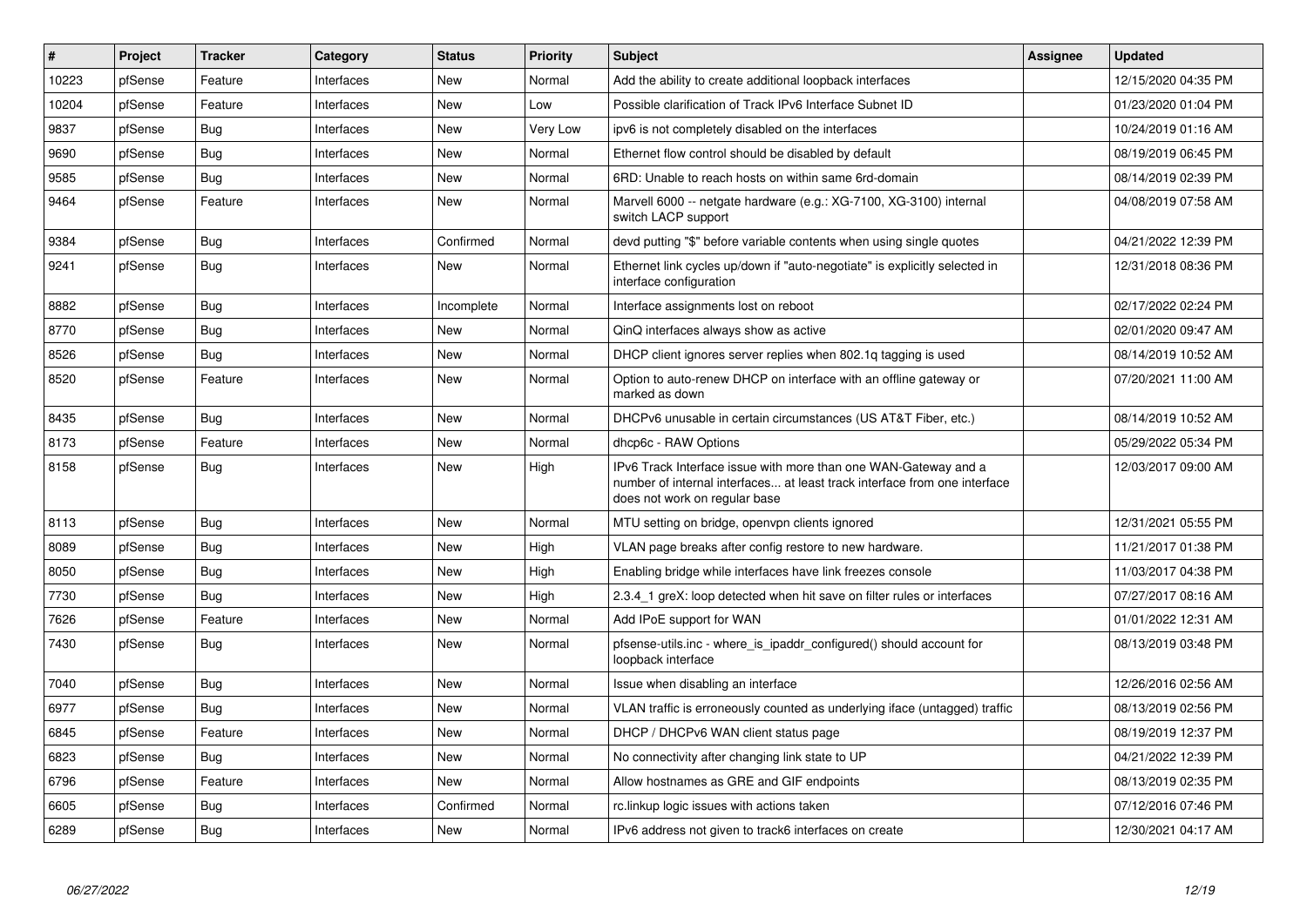| $\vert$ # | Project | <b>Tracker</b> | Category   | <b>Status</b> | Priority | <b>Subject</b>                                                                                                                                                                | <b>Assignee</b> | <b>Updated</b>      |
|-----------|---------|----------------|------------|---------------|----------|-------------------------------------------------------------------------------------------------------------------------------------------------------------------------------|-----------------|---------------------|
| 10223     | pfSense | Feature        | Interfaces | <b>New</b>    | Normal   | Add the ability to create additional loopback interfaces                                                                                                                      |                 | 12/15/2020 04:35 PM |
| 10204     | pfSense | Feature        | Interfaces | <b>New</b>    | Low      | Possible clarification of Track IPv6 Interface Subnet ID                                                                                                                      |                 | 01/23/2020 01:04 PM |
| 9837      | pfSense | Bug            | Interfaces | <b>New</b>    | Very Low | ipv6 is not completely disabled on the interfaces                                                                                                                             |                 | 10/24/2019 01:16 AM |
| 9690      | pfSense | Bug            | Interfaces | <b>New</b>    | Normal   | Ethernet flow control should be disabled by default                                                                                                                           |                 | 08/19/2019 06:45 PM |
| 9585      | pfSense | <b>Bug</b>     | Interfaces | <b>New</b>    | Normal   | 6RD: Unable to reach hosts on within same 6rd-domain                                                                                                                          |                 | 08/14/2019 02:39 PM |
| 9464      | pfSense | Feature        | Interfaces | New           | Normal   | Marvell 6000 -- netgate hardware (e.g.: XG-7100, XG-3100) internal<br>switch LACP support                                                                                     |                 | 04/08/2019 07:58 AM |
| 9384      | pfSense | Bug            | Interfaces | Confirmed     | Normal   | devd putting "\$" before variable contents when using single quotes                                                                                                           |                 | 04/21/2022 12:39 PM |
| 9241      | pfSense | Bug            | Interfaces | <b>New</b>    | Normal   | Ethernet link cycles up/down if "auto-negotiate" is explicitly selected in<br>interface configuration                                                                         |                 | 12/31/2018 08:36 PM |
| 8882      | pfSense | <b>Bug</b>     | Interfaces | Incomplete    | Normal   | Interface assignments lost on reboot                                                                                                                                          |                 | 02/17/2022 02:24 PM |
| 8770      | pfSense | Bug            | Interfaces | New           | Normal   | QinQ interfaces always show as active                                                                                                                                         |                 | 02/01/2020 09:47 AM |
| 8526      | pfSense | Bug            | Interfaces | New           | Normal   | DHCP client ignores server replies when 802.1q tagging is used                                                                                                                |                 | 08/14/2019 10:52 AM |
| 8520      | pfSense | Feature        | Interfaces | New           | Normal   | Option to auto-renew DHCP on interface with an offline gateway or<br>marked as down                                                                                           |                 | 07/20/2021 11:00 AM |
| 8435      | pfSense | Bug            | Interfaces | New           | Normal   | DHCPv6 unusable in certain circumstances (US AT&T Fiber, etc.)                                                                                                                |                 | 08/14/2019 10:52 AM |
| 8173      | pfSense | Feature        | Interfaces | <b>New</b>    | Normal   | dhcp6c - RAW Options                                                                                                                                                          |                 | 05/29/2022 05:34 PM |
| 8158      | pfSense | Bug            | Interfaces | New           | High     | IPv6 Track Interface issue with more than one WAN-Gateway and a<br>number of internal interfaces at least track interface from one interface<br>does not work on regular base |                 | 12/03/2017 09:00 AM |
| 8113      | pfSense | Bug            | Interfaces | <b>New</b>    | Normal   | MTU setting on bridge, openypn clients ignored                                                                                                                                |                 | 12/31/2021 05:55 PM |
| 8089      | pfSense | Bug            | Interfaces | <b>New</b>    | High     | VLAN page breaks after config restore to new hardware.                                                                                                                        |                 | 11/21/2017 01:38 PM |
| 8050      | pfSense | Bug            | Interfaces | <b>New</b>    | High     | Enabling bridge while interfaces have link freezes console                                                                                                                    |                 | 11/03/2017 04:38 PM |
| 7730      | pfSense | <b>Bug</b>     | Interfaces | <b>New</b>    | High     | 2.3.4 1 greX: loop detected when hit save on filter rules or interfaces                                                                                                       |                 | 07/27/2017 08:16 AM |
| 7626      | pfSense | Feature        | Interfaces | New           | Normal   | Add IPoE support for WAN                                                                                                                                                      |                 | 01/01/2022 12:31 AM |
| 7430      | pfSense | <b>Bug</b>     | Interfaces | New           | Normal   | pfsense-utils.inc - where is ipaddr configured() should account for<br>loopback interface                                                                                     |                 | 08/13/2019 03:48 PM |
| 7040      | pfSense | <b>Bug</b>     | Interfaces | <b>New</b>    | Normal   | Issue when disabling an interface                                                                                                                                             |                 | 12/26/2016 02:56 AM |
| 6977      | pfSense | Bug            | Interfaces | New           | Normal   | VLAN traffic is erroneously counted as underlying iface (untagged) traffic                                                                                                    |                 | 08/13/2019 02:56 PM |
| 6845      | pfSense | Feature        | Interfaces | <b>New</b>    | Normal   | DHCP / DHCPv6 WAN client status page                                                                                                                                          |                 | 08/19/2019 12:37 PM |
| 6823      | pfSense | Bug            | Interfaces | New           | Normal   | No connectivity after changing link state to UP                                                                                                                               |                 | 04/21/2022 12:39 PM |
| 6796      | pfSense | Feature        | Interfaces | New           | Normal   | Allow hostnames as GRE and GIF endpoints                                                                                                                                      |                 | 08/13/2019 02:35 PM |
| 6605      | pfSense | Bug            | Interfaces | Confirmed     | Normal   | rc.linkup logic issues with actions taken                                                                                                                                     |                 | 07/12/2016 07:46 PM |
| 6289      | pfSense | <b>Bug</b>     | Interfaces | <b>New</b>    | Normal   | IPv6 address not given to track6 interfaces on create                                                                                                                         |                 | 12/30/2021 04:17 AM |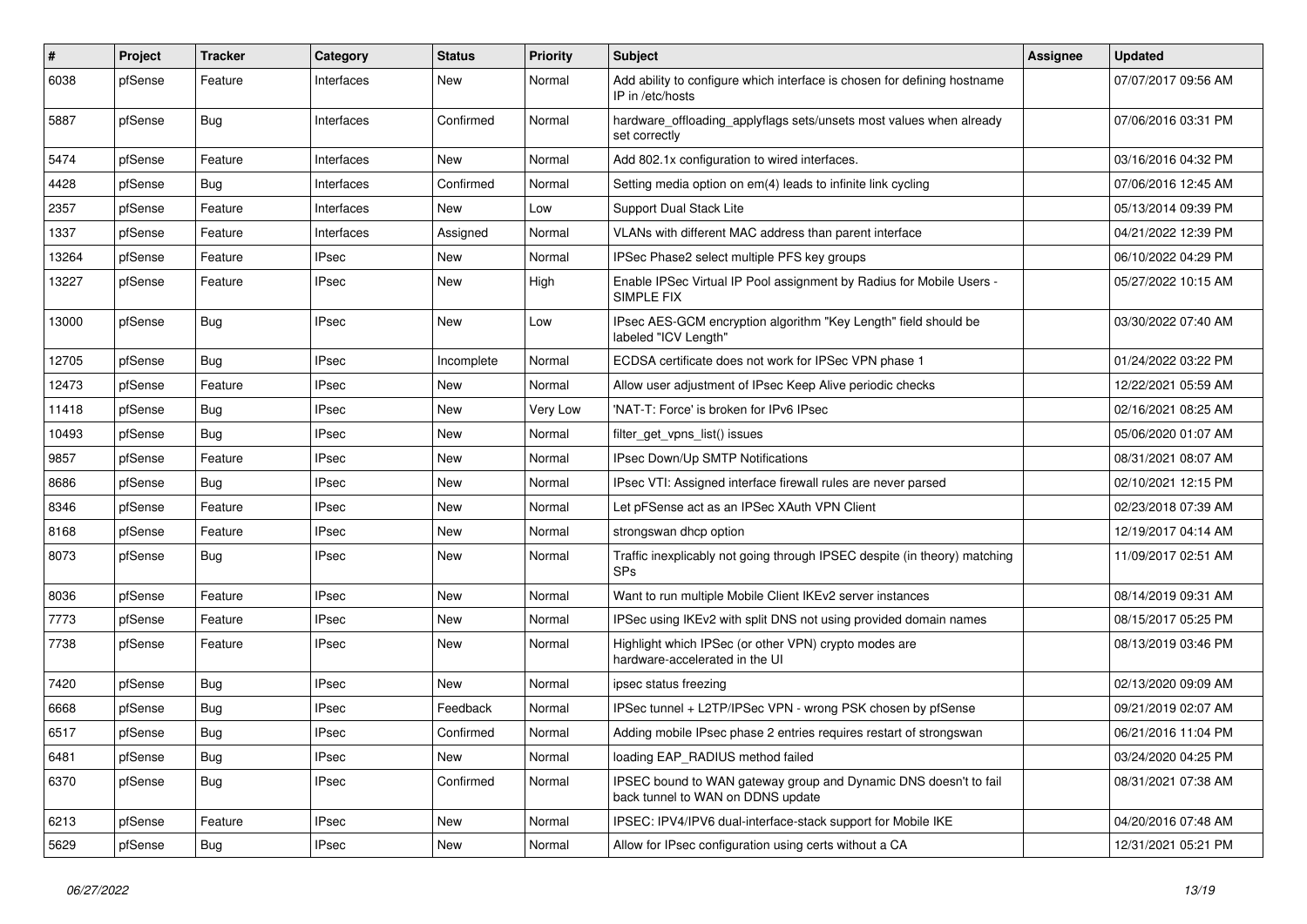| #     | Project | <b>Tracker</b> | Category     | <b>Status</b> | <b>Priority</b> | <b>Subject</b>                                                                                        | Assignee | <b>Updated</b>      |
|-------|---------|----------------|--------------|---------------|-----------------|-------------------------------------------------------------------------------------------------------|----------|---------------------|
| 6038  | pfSense | Feature        | Interfaces   | New           | Normal          | Add ability to configure which interface is chosen for defining hostname<br>IP in /etc/hosts          |          | 07/07/2017 09:56 AM |
| 5887  | pfSense | Bug            | Interfaces   | Confirmed     | Normal          | hardware_offloading_applyflags sets/unsets most values when already<br>set correctly                  |          | 07/06/2016 03:31 PM |
| 5474  | pfSense | Feature        | Interfaces   | <b>New</b>    | Normal          | Add 802.1x configuration to wired interfaces.                                                         |          | 03/16/2016 04:32 PM |
| 4428  | pfSense | Bug            | Interfaces   | Confirmed     | Normal          | Setting media option on em(4) leads to infinite link cycling                                          |          | 07/06/2016 12:45 AM |
| 2357  | pfSense | Feature        | Interfaces   | <b>New</b>    | Low             | <b>Support Dual Stack Lite</b>                                                                        |          | 05/13/2014 09:39 PM |
| 1337  | pfSense | Feature        | Interfaces   | Assigned      | Normal          | VLANs with different MAC address than parent interface                                                |          | 04/21/2022 12:39 PM |
| 13264 | pfSense | Feature        | <b>IPsec</b> | New           | Normal          | IPSec Phase2 select multiple PFS key groups                                                           |          | 06/10/2022 04:29 PM |
| 13227 | pfSense | Feature        | <b>IPsec</b> | New           | High            | Enable IPSec Virtual IP Pool assignment by Radius for Mobile Users -<br>SIMPLE FIX                    |          | 05/27/2022 10:15 AM |
| 13000 | pfSense | Bug            | <b>IPsec</b> | New           | Low             | IPsec AES-GCM encryption algorithm "Key Length" field should be<br>labeled "ICV Length"               |          | 03/30/2022 07:40 AM |
| 12705 | pfSense | Bug            | <b>IPsec</b> | Incomplete    | Normal          | ECDSA certificate does not work for IPSec VPN phase 1                                                 |          | 01/24/2022 03:22 PM |
| 12473 | pfSense | Feature        | <b>IPsec</b> | <b>New</b>    | Normal          | Allow user adjustment of IPsec Keep Alive periodic checks                                             |          | 12/22/2021 05:59 AM |
| 11418 | pfSense | Bug            | <b>IPsec</b> | New           | <b>Very Low</b> | 'NAT-T: Force' is broken for IPv6 IPsec                                                               |          | 02/16/2021 08:25 AM |
| 10493 | pfSense | Bug            | <b>IPsec</b> | New           | Normal          | filter get vpns list() issues                                                                         |          | 05/06/2020 01:07 AM |
| 9857  | pfSense | Feature        | <b>IPsec</b> | New           | Normal          | IPsec Down/Up SMTP Notifications                                                                      |          | 08/31/2021 08:07 AM |
| 8686  | pfSense | Bug            | <b>IPsec</b> | New           | Normal          | IPsec VTI: Assigned interface firewall rules are never parsed                                         |          | 02/10/2021 12:15 PM |
| 8346  | pfSense | Feature        | <b>IPsec</b> | New           | Normal          | Let pFSense act as an IPSec XAuth VPN Client                                                          |          | 02/23/2018 07:39 AM |
| 8168  | pfSense | Feature        | <b>IPsec</b> | New           | Normal          | strongswan dhcp option                                                                                |          | 12/19/2017 04:14 AM |
| 8073  | pfSense | Bug            | <b>IPsec</b> | New           | Normal          | Traffic inexplicably not going through IPSEC despite (in theory) matching<br><b>SPs</b>               |          | 11/09/2017 02:51 AM |
| 8036  | pfSense | Feature        | <b>IPsec</b> | New           | Normal          | Want to run multiple Mobile Client IKEv2 server instances                                             |          | 08/14/2019 09:31 AM |
| 7773  | pfSense | Feature        | <b>IPsec</b> | New           | Normal          | IPSec using IKEv2 with split DNS not using provided domain names                                      |          | 08/15/2017 05:25 PM |
| 7738  | pfSense | Feature        | <b>IPsec</b> | New           | Normal          | Highlight which IPSec (or other VPN) crypto modes are<br>hardware-accelerated in the UI               |          | 08/13/2019 03:46 PM |
| 7420  | pfSense | Bug            | <b>IPsec</b> | New           | Normal          | ipsec status freezing                                                                                 |          | 02/13/2020 09:09 AM |
| 6668  | pfSense | Bug            | <b>IPsec</b> | Feedback      | Normal          | IPSec tunnel + L2TP/IPSec VPN - wrong PSK chosen by pfSense                                           |          | 09/21/2019 02:07 AM |
| 6517  | pfSense | Bug            | <b>IPsec</b> | Confirmed     | Normal          | Adding mobile IPsec phase 2 entries requires restart of strongswan                                    |          | 06/21/2016 11:04 PM |
| 6481  | pfSense | Bug            | <b>IPsec</b> | New           | Normal          | loading EAP RADIUS method failed                                                                      |          | 03/24/2020 04:25 PM |
| 6370  | pfSense | <b>Bug</b>     | <b>IPsec</b> | Confirmed     | Normal          | IPSEC bound to WAN gateway group and Dynamic DNS doesn't to fail<br>back tunnel to WAN on DDNS update |          | 08/31/2021 07:38 AM |
| 6213  | pfSense | Feature        | <b>IPsec</b> | New           | Normal          | IPSEC: IPV4/IPV6 dual-interface-stack support for Mobile IKE                                          |          | 04/20/2016 07:48 AM |
| 5629  | pfSense | Bug            | <b>IPsec</b> | New           | Normal          | Allow for IPsec configuration using certs without a CA                                                |          | 12/31/2021 05:21 PM |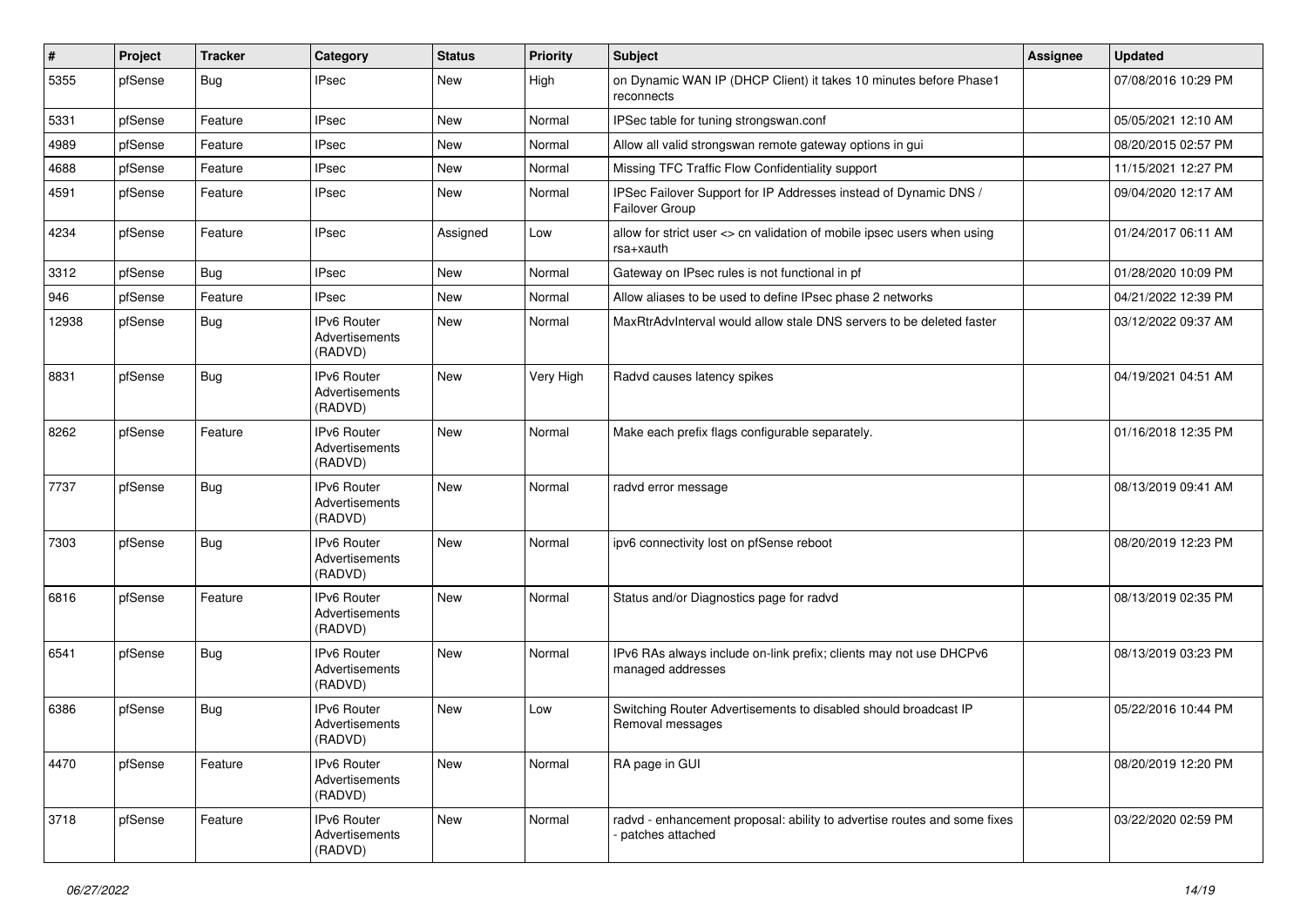| #     | Project | <b>Tracker</b> | Category                                        | <b>Status</b> | <b>Priority</b> | Subject                                                                                      | <b>Assignee</b> | <b>Updated</b>      |
|-------|---------|----------------|-------------------------------------------------|---------------|-----------------|----------------------------------------------------------------------------------------------|-----------------|---------------------|
| 5355  | pfSense | Bug            | <b>IPsec</b>                                    | New           | High            | on Dynamic WAN IP (DHCP Client) it takes 10 minutes before Phase1<br>reconnects              |                 | 07/08/2016 10:29 PM |
| 5331  | pfSense | Feature        | <b>IPsec</b>                                    | New           | Normal          | IPSec table for tuning strongswan.conf                                                       |                 | 05/05/2021 12:10 AM |
| 4989  | pfSense | Feature        | <b>IPsec</b>                                    | New           | Normal          | Allow all valid strongswan remote gateway options in gui                                     |                 | 08/20/2015 02:57 PM |
| 4688  | pfSense | Feature        | <b>IPsec</b>                                    | <b>New</b>    | Normal          | Missing TFC Traffic Flow Confidentiality support                                             |                 | 11/15/2021 12:27 PM |
| 4591  | pfSense | Feature        | <b>IPsec</b>                                    | New           | Normal          | IPSec Failover Support for IP Addresses instead of Dynamic DNS /<br>Failover Group           |                 | 09/04/2020 12:17 AM |
| 4234  | pfSense | Feature        | <b>IPsec</b>                                    | Assigned      | Low             | allow for strict user <> cn validation of mobile ipsec users when using<br>rsa+xauth         |                 | 01/24/2017 06:11 AM |
| 3312  | pfSense | Bug            | <b>IPsec</b>                                    | <b>New</b>    | Normal          | Gateway on IPsec rules is not functional in pf                                               |                 | 01/28/2020 10:09 PM |
| 946   | pfSense | Feature        | <b>IPsec</b>                                    | New           | Normal          | Allow aliases to be used to define IPsec phase 2 networks                                    |                 | 04/21/2022 12:39 PM |
| 12938 | pfSense | <b>Bug</b>     | IPv6 Router<br>Advertisements<br>(RADVD)        | New           | Normal          | MaxRtrAdvInterval would allow stale DNS servers to be deleted faster                         |                 | 03/12/2022 09:37 AM |
| 8831  | pfSense | Bug            | <b>IPv6 Router</b><br>Advertisements<br>(RADVD) | New           | Very High       | Radvd causes latency spikes                                                                  |                 | 04/19/2021 04:51 AM |
| 8262  | pfSense | Feature        | <b>IPv6 Router</b><br>Advertisements<br>(RADVD) | New           | Normal          | Make each prefix flags configurable separately.                                              |                 | 01/16/2018 12:35 PM |
| 7737  | pfSense | Bug            | <b>IPv6 Router</b><br>Advertisements<br>(RADVD) | New           | Normal          | radvd error message                                                                          |                 | 08/13/2019 09:41 AM |
| 7303  | pfSense | Bug            | <b>IPv6 Router</b><br>Advertisements<br>(RADVD) | <b>New</b>    | Normal          | ipv6 connectivity lost on pfSense reboot                                                     |                 | 08/20/2019 12:23 PM |
| 6816  | pfSense | Feature        | IPv6 Router<br>Advertisements<br>(RADVD)        | New           | Normal          | Status and/or Diagnostics page for radvd                                                     |                 | 08/13/2019 02:35 PM |
| 6541  | pfSense | Bug            | <b>IPv6 Router</b><br>Advertisements<br>(RADVD) | New           | Normal          | IPv6 RAs always include on-link prefix; clients may not use DHCPv6<br>managed addresses      |                 | 08/13/2019 03:23 PM |
| 6386  | pfSense | Bug            | IPv6 Router<br>Advertisements<br>(RADVD)        | New           | Low             | Switching Router Advertisements to disabled should broadcast IP<br>Removal messages          |                 | 05/22/2016 10:44 PM |
| 4470  | pfSense | Feature        | IPv6 Router<br>Advertisements<br>(RADVD)        | New           | Normal          | RA page in GUI                                                                               |                 | 08/20/2019 12:20 PM |
| 3718  | pfSense | Feature        | IPv6 Router<br>Advertisements<br>(RADVD)        | New           | Normal          | radvd - enhancement proposal: ability to advertise routes and some fixes<br>patches attached |                 | 03/22/2020 02:59 PM |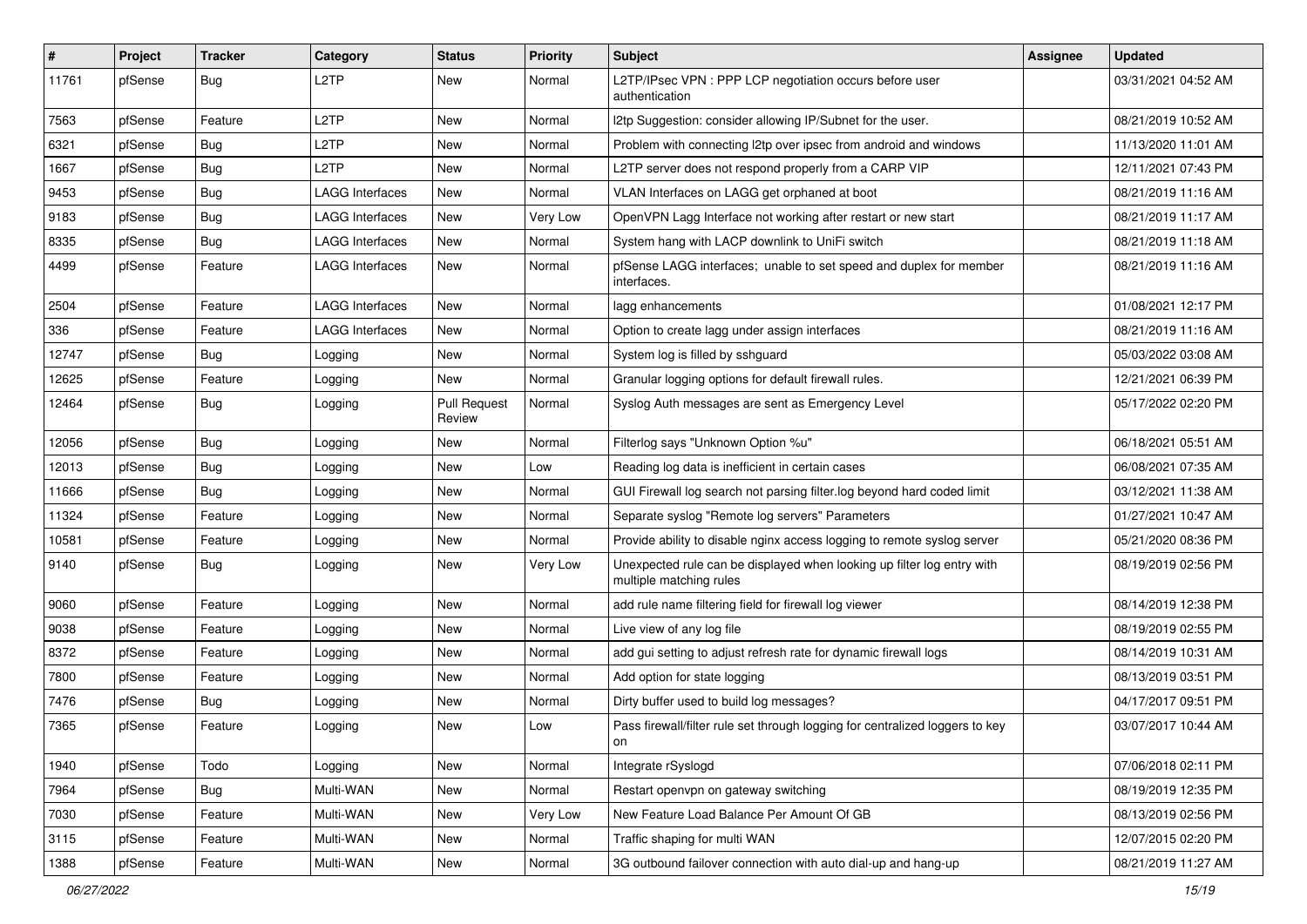| $\vert$ # | Project | <b>Tracker</b> | Category               | <b>Status</b>                 | <b>Priority</b> | Subject                                                                                           | Assignee | <b>Updated</b>      |
|-----------|---------|----------------|------------------------|-------------------------------|-----------------|---------------------------------------------------------------------------------------------------|----------|---------------------|
| 11761     | pfSense | Bug            | L <sub>2</sub> TP      | New                           | Normal          | L2TP/IPsec VPN : PPP LCP negotiation occurs before user<br>authentication                         |          | 03/31/2021 04:52 AM |
| 7563      | pfSense | Feature        | L <sub>2</sub> TP      | New                           | Normal          | I2tp Suggestion: consider allowing IP/Subnet for the user.                                        |          | 08/21/2019 10:52 AM |
| 6321      | pfSense | Bug            | L <sub>2</sub> TP      | New                           | Normal          | Problem with connecting I2tp over ipsec from android and windows                                  |          | 11/13/2020 11:01 AM |
| 1667      | pfSense | Bug            | L <sub>2</sub> TP      | New                           | Normal          | L2TP server does not respond properly from a CARP VIP                                             |          | 12/11/2021 07:43 PM |
| 9453      | pfSense | Bug            | <b>LAGG Interfaces</b> | New                           | Normal          | VLAN Interfaces on LAGG get orphaned at boot                                                      |          | 08/21/2019 11:16 AM |
| 9183      | pfSense | Bug            | LAGG Interfaces        | New                           | Very Low        | OpenVPN Lagg Interface not working after restart or new start                                     |          | 08/21/2019 11:17 AM |
| 8335      | pfSense | Bug            | <b>LAGG Interfaces</b> | New                           | Normal          | System hang with LACP downlink to UniFi switch                                                    |          | 08/21/2019 11:18 AM |
| 4499      | pfSense | Feature        | LAGG Interfaces        | <b>New</b>                    | Normal          | pfSense LAGG interfaces; unable to set speed and duplex for member<br>interfaces.                 |          | 08/21/2019 11:16 AM |
| 2504      | pfSense | Feature        | <b>LAGG Interfaces</b> | New                           | Normal          | lagg enhancements                                                                                 |          | 01/08/2021 12:17 PM |
| 336       | pfSense | Feature        | LAGG Interfaces        | New                           | Normal          | Option to create lagg under assign interfaces                                                     |          | 08/21/2019 11:16 AM |
| 12747     | pfSense | Bug            | Logging                | New                           | Normal          | System log is filled by sshquard                                                                  |          | 05/03/2022 03:08 AM |
| 12625     | pfSense | Feature        | Logging                | New                           | Normal          | Granular logging options for default firewall rules.                                              |          | 12/21/2021 06:39 PM |
| 12464     | pfSense | Bug            | Logging                | <b>Pull Request</b><br>Review | Normal          | Syslog Auth messages are sent as Emergency Level                                                  |          | 05/17/2022 02:20 PM |
| 12056     | pfSense | Bug            | Logging                | New                           | Normal          | Filterlog says "Unknown Option %u"                                                                |          | 06/18/2021 05:51 AM |
| 12013     | pfSense | Bug            | Logging                | <b>New</b>                    | Low             | Reading log data is inefficient in certain cases                                                  |          | 06/08/2021 07:35 AM |
| 11666     | pfSense | Bug            | Logging                | New                           | Normal          | GUI Firewall log search not parsing filter.log beyond hard coded limit                            |          | 03/12/2021 11:38 AM |
| 11324     | pfSense | Feature        | Logging                | New                           | Normal          | Separate syslog "Remote log servers" Parameters                                                   |          | 01/27/2021 10:47 AM |
| 10581     | pfSense | Feature        | Logging                | New                           | Normal          | Provide ability to disable nginx access logging to remote syslog server                           |          | 05/21/2020 08:36 PM |
| 9140      | pfSense | Bug            | Logging                | New                           | Very Low        | Unexpected rule can be displayed when looking up filter log entry with<br>multiple matching rules |          | 08/19/2019 02:56 PM |
| 9060      | pfSense | Feature        | Logging                | <b>New</b>                    | Normal          | add rule name filtering field for firewall log viewer                                             |          | 08/14/2019 12:38 PM |
| 9038      | pfSense | Feature        | Logging                | <b>New</b>                    | Normal          | Live view of any log file                                                                         |          | 08/19/2019 02:55 PM |
| 8372      | pfSense | Feature        | Logging                | New                           | Normal          | add gui setting to adjust refresh rate for dynamic firewall logs                                  |          | 08/14/2019 10:31 AM |
| 7800      | pfSense | Feature        | Logging                | New                           | Normal          | Add option for state logging                                                                      |          | 08/13/2019 03:51 PM |
| 7476      | pfSense | Bug            | Logging                | New                           | Normal          | Dirty buffer used to build log messages?                                                          |          | 04/17/2017 09:51 PM |
| 7365      | pfSense | Feature        | Logging                | <b>New</b>                    | Low             | Pass firewall/filter rule set through logging for centralized loggers to key<br>on                |          | 03/07/2017 10:44 AM |
| 1940      | pfSense | Todo           | Logging                | <b>New</b>                    | Normal          | Integrate rSyslogd                                                                                |          | 07/06/2018 02:11 PM |
| 7964      | pfSense | <b>Bug</b>     | Multi-WAN              | New                           | Normal          | Restart openvpn on gateway switching                                                              |          | 08/19/2019 12:35 PM |
| 7030      | pfSense | Feature        | Multi-WAN              | New                           | Very Low        | New Feature Load Balance Per Amount Of GB                                                         |          | 08/13/2019 02:56 PM |
| 3115      | pfSense | Feature        | Multi-WAN              | New                           | Normal          | Traffic shaping for multi WAN                                                                     |          | 12/07/2015 02:20 PM |
| 1388      | pfSense | Feature        | Multi-WAN              | New                           | Normal          | 3G outbound failover connection with auto dial-up and hang-up                                     |          | 08/21/2019 11:27 AM |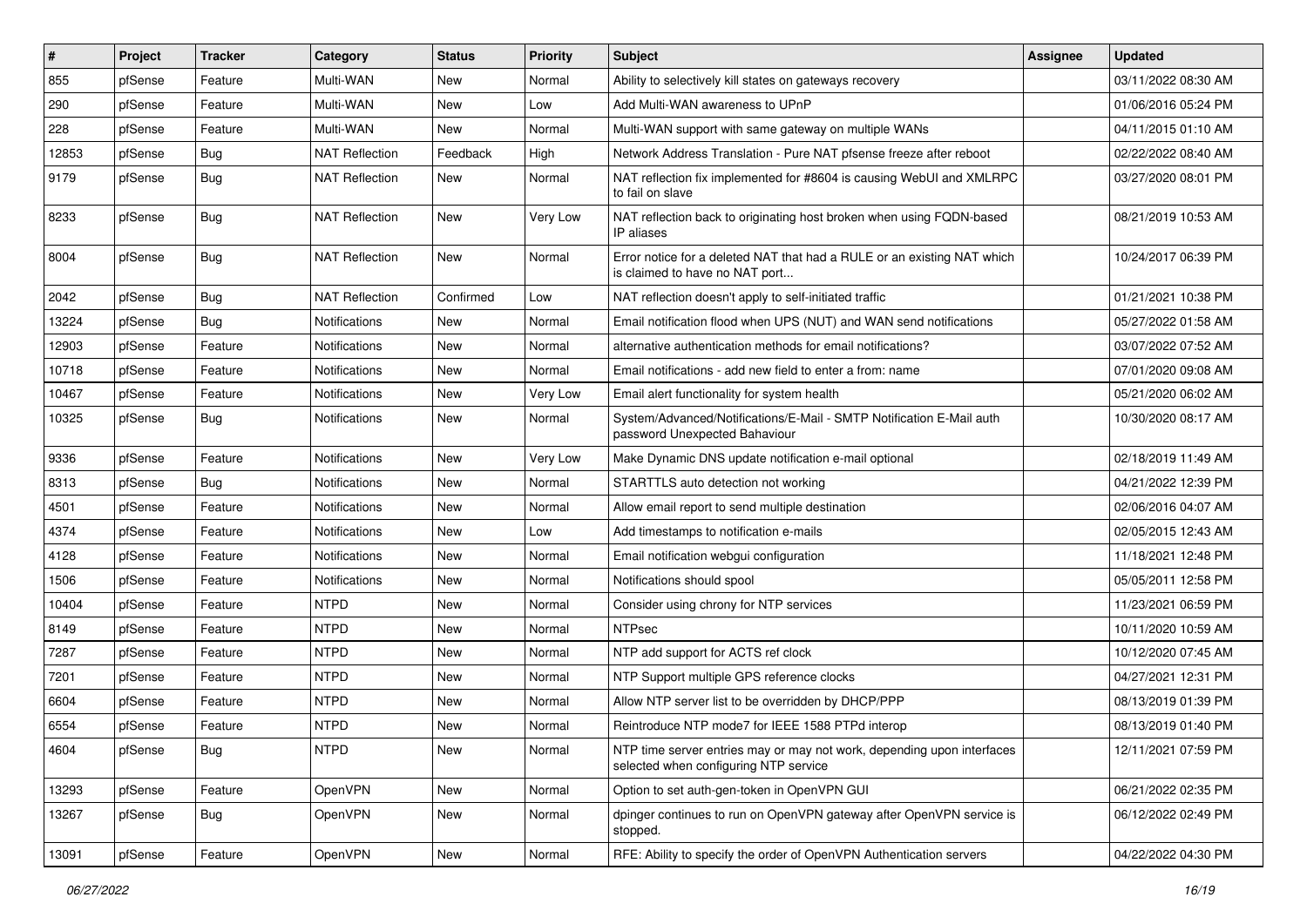| $\vert$ # | Project | <b>Tracker</b> | Category              | <b>Status</b> | <b>Priority</b> | <b>Subject</b>                                                                                                  | <b>Assignee</b> | <b>Updated</b>      |
|-----------|---------|----------------|-----------------------|---------------|-----------------|-----------------------------------------------------------------------------------------------------------------|-----------------|---------------------|
| 855       | pfSense | Feature        | Multi-WAN             | New           | Normal          | Ability to selectively kill states on gateways recovery                                                         |                 | 03/11/2022 08:30 AM |
| 290       | pfSense | Feature        | Multi-WAN             | <b>New</b>    | Low             | Add Multi-WAN awareness to UPnP                                                                                 |                 | 01/06/2016 05:24 PM |
| 228       | pfSense | Feature        | Multi-WAN             | New           | Normal          | Multi-WAN support with same gateway on multiple WANs                                                            |                 | 04/11/2015 01:10 AM |
| 12853     | pfSense | Bug            | <b>NAT Reflection</b> | Feedback      | High            | Network Address Translation - Pure NAT pfsense freeze after reboot                                              |                 | 02/22/2022 08:40 AM |
| 9179      | pfSense | Bug            | <b>NAT Reflection</b> | New           | Normal          | NAT reflection fix implemented for #8604 is causing WebUI and XMLRPC<br>to fail on slave                        |                 | 03/27/2020 08:01 PM |
| 8233      | pfSense | Bug            | <b>NAT Reflection</b> | New           | Very Low        | NAT reflection back to originating host broken when using FQDN-based<br>IP aliases                              |                 | 08/21/2019 10:53 AM |
| 8004      | pfSense | Bug            | <b>NAT Reflection</b> | <b>New</b>    | Normal          | Error notice for a deleted NAT that had a RULE or an existing NAT which<br>is claimed to have no NAT port       |                 | 10/24/2017 06:39 PM |
| 2042      | pfSense | Bug            | <b>NAT Reflection</b> | Confirmed     | Low             | NAT reflection doesn't apply to self-initiated traffic                                                          |                 | 01/21/2021 10:38 PM |
| 13224     | pfSense | Bug            | <b>Notifications</b>  | New           | Normal          | Email notification flood when UPS (NUT) and WAN send notifications                                              |                 | 05/27/2022 01:58 AM |
| 12903     | pfSense | Feature        | Notifications         | New           | Normal          | alternative authentication methods for email notifications?                                                     |                 | 03/07/2022 07:52 AM |
| 10718     | pfSense | Feature        | <b>Notifications</b>  | <b>New</b>    | Normal          | Email notifications - add new field to enter a from: name                                                       |                 | 07/01/2020 09:08 AM |
| 10467     | pfSense | Feature        | Notifications         | New           | <b>Very Low</b> | Email alert functionality for system health                                                                     |                 | 05/21/2020 06:02 AM |
| 10325     | pfSense | Bug            | <b>Notifications</b>  | <b>New</b>    | Normal          | System/Advanced/Notifications/E-Mail - SMTP Notification E-Mail auth<br>password Unexpected Bahaviour           |                 | 10/30/2020 08:17 AM |
| 9336      | pfSense | Feature        | Notifications         | <b>New</b>    | <b>Very Low</b> | Make Dynamic DNS update notification e-mail optional                                                            |                 | 02/18/2019 11:49 AM |
| 8313      | pfSense | Bug            | Notifications         | New           | Normal          | STARTTLS auto detection not working                                                                             |                 | 04/21/2022 12:39 PM |
| 4501      | pfSense | Feature        | <b>Notifications</b>  | New           | Normal          | Allow email report to send multiple destination                                                                 |                 | 02/06/2016 04:07 AM |
| 4374      | pfSense | Feature        | Notifications         | <b>New</b>    | Low             | Add timestamps to notification e-mails                                                                          |                 | 02/05/2015 12:43 AM |
| 4128      | pfSense | Feature        | <b>Notifications</b>  | New           | Normal          | Email notification webgui configuration                                                                         |                 | 11/18/2021 12:48 PM |
| 1506      | pfSense | Feature        | Notifications         | New           | Normal          | Notifications should spool                                                                                      |                 | 05/05/2011 12:58 PM |
| 10404     | pfSense | Feature        | <b>NTPD</b>           | New           | Normal          | Consider using chrony for NTP services                                                                          |                 | 11/23/2021 06:59 PM |
| 8149      | pfSense | Feature        | <b>NTPD</b>           | <b>New</b>    | Normal          | <b>NTPsec</b>                                                                                                   |                 | 10/11/2020 10:59 AM |
| 7287      | pfSense | Feature        | <b>NTPD</b>           | <b>New</b>    | Normal          | NTP add support for ACTS ref clock                                                                              |                 | 10/12/2020 07:45 AM |
| 7201      | pfSense | Feature        | <b>NTPD</b>           | New           | Normal          | NTP Support multiple GPS reference clocks                                                                       |                 | 04/27/2021 12:31 PM |
| 6604      | pfSense | Feature        | <b>NTPD</b>           | <b>New</b>    | Normal          | Allow NTP server list to be overridden by DHCP/PPP                                                              |                 | 08/13/2019 01:39 PM |
| 6554      | pfSense | Feature        | <b>NTPD</b>           | <b>New</b>    | Normal          | Reintroduce NTP mode7 for IEEE 1588 PTPd interop                                                                |                 | 08/13/2019 01:40 PM |
| 4604      | pfSense | <b>Bug</b>     | <b>NTPD</b>           | New           | Normal          | NTP time server entries may or may not work, depending upon interfaces<br>selected when configuring NTP service |                 | 12/11/2021 07:59 PM |
| 13293     | pfSense | Feature        | OpenVPN               | New           | Normal          | Option to set auth-gen-token in OpenVPN GUI                                                                     |                 | 06/21/2022 02:35 PM |
| 13267     | pfSense | <b>Bug</b>     | OpenVPN               | New           | Normal          | dpinger continues to run on OpenVPN gateway after OpenVPN service is<br>stopped.                                |                 | 06/12/2022 02:49 PM |
| 13091     | pfSense | Feature        | OpenVPN               | New           | Normal          | RFE: Ability to specify the order of OpenVPN Authentication servers                                             |                 | 04/22/2022 04:30 PM |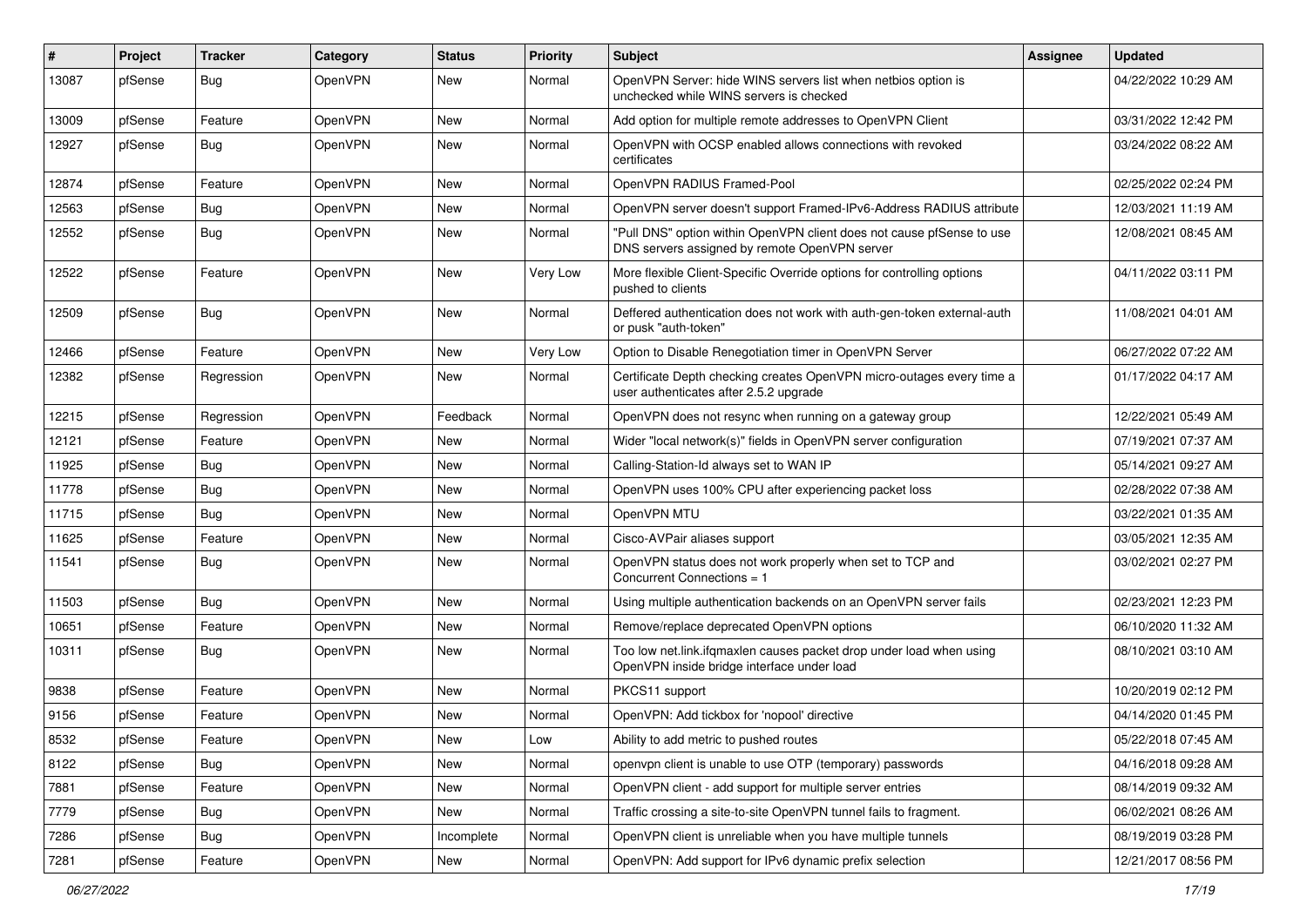| #     | Project | <b>Tracker</b> | Category       | <b>Status</b> | <b>Priority</b> | <b>Subject</b>                                                                                                         | <b>Assignee</b> | <b>Updated</b>      |
|-------|---------|----------------|----------------|---------------|-----------------|------------------------------------------------------------------------------------------------------------------------|-----------------|---------------------|
| 13087 | pfSense | Bug            | OpenVPN        | New           | Normal          | OpenVPN Server: hide WINS servers list when netbios option is<br>unchecked while WINS servers is checked               |                 | 04/22/2022 10:29 AM |
| 13009 | pfSense | Feature        | OpenVPN        | New           | Normal          | Add option for multiple remote addresses to OpenVPN Client                                                             |                 | 03/31/2022 12:42 PM |
| 12927 | pfSense | <b>Bug</b>     | OpenVPN        | <b>New</b>    | Normal          | OpenVPN with OCSP enabled allows connections with revoked<br>certificates                                              |                 | 03/24/2022 08:22 AM |
| 12874 | pfSense | Feature        | <b>OpenVPN</b> | <b>New</b>    | Normal          | OpenVPN RADIUS Framed-Pool                                                                                             |                 | 02/25/2022 02:24 PM |
| 12563 | pfSense | <b>Bug</b>     | OpenVPN        | New           | Normal          | OpenVPN server doesn't support Framed-IPv6-Address RADIUS attribute                                                    |                 | 12/03/2021 11:19 AM |
| 12552 | pfSense | Bug            | OpenVPN        | <b>New</b>    | Normal          | "Pull DNS" option within OpenVPN client does not cause pfSense to use<br>DNS servers assigned by remote OpenVPN server |                 | 12/08/2021 08:45 AM |
| 12522 | pfSense | Feature        | OpenVPN        | <b>New</b>    | Very Low        | More flexible Client-Specific Override options for controlling options<br>pushed to clients                            |                 | 04/11/2022 03:11 PM |
| 12509 | pfSense | Bug            | OpenVPN        | <b>New</b>    | Normal          | Deffered authentication does not work with auth-gen-token external-auth<br>or pusk "auth-token"                        |                 | 11/08/2021 04:01 AM |
| 12466 | pfSense | Feature        | OpenVPN        | New           | Very Low        | Option to Disable Renegotiation timer in OpenVPN Server                                                                |                 | 06/27/2022 07:22 AM |
| 12382 | pfSense | Regression     | OpenVPN        | New           | Normal          | Certificate Depth checking creates OpenVPN micro-outages every time a<br>user authenticates after 2.5.2 upgrade        |                 | 01/17/2022 04:17 AM |
| 12215 | pfSense | Regression     | <b>OpenVPN</b> | Feedback      | Normal          | OpenVPN does not resync when running on a gateway group                                                                |                 | 12/22/2021 05:49 AM |
| 12121 | pfSense | Feature        | OpenVPN        | New           | Normal          | Wider "local network(s)" fields in OpenVPN server configuration                                                        |                 | 07/19/2021 07:37 AM |
| 11925 | pfSense | Bug            | OpenVPN        | New           | Normal          | Calling-Station-Id always set to WAN IP                                                                                |                 | 05/14/2021 09:27 AM |
| 11778 | pfSense | Bug            | OpenVPN        | <b>New</b>    | Normal          | OpenVPN uses 100% CPU after experiencing packet loss                                                                   |                 | 02/28/2022 07:38 AM |
| 11715 | pfSense | Bug            | OpenVPN        | <b>New</b>    | Normal          | OpenVPN MTU                                                                                                            |                 | 03/22/2021 01:35 AM |
| 11625 | pfSense | Feature        | <b>OpenVPN</b> | New           | Normal          | Cisco-AVPair aliases support                                                                                           |                 | 03/05/2021 12:35 AM |
| 11541 | pfSense | <b>Bug</b>     | OpenVPN        | New           | Normal          | OpenVPN status does not work properly when set to TCP and<br>Concurrent Connections = 1                                |                 | 03/02/2021 02:27 PM |
| 11503 | pfSense | Bug            | OpenVPN        | New           | Normal          | Using multiple authentication backends on an OpenVPN server fails                                                      |                 | 02/23/2021 12:23 PM |
| 10651 | pfSense | Feature        | OpenVPN        | <b>New</b>    | Normal          | Remove/replace deprecated OpenVPN options                                                                              |                 | 06/10/2020 11:32 AM |
| 10311 | pfSense | <b>Bug</b>     | OpenVPN        | New           | Normal          | Too low net.link.ifgmaxlen causes packet drop under load when using<br>OpenVPN inside bridge interface under load      |                 | 08/10/2021 03:10 AM |
| 9838  | pfSense | Feature        | OpenVPN        | <b>New</b>    | Normal          | PKCS11 support                                                                                                         |                 | 10/20/2019 02:12 PM |
| 9156  | pfSense | Feature        | OpenVPN        | New           | Normal          | OpenVPN: Add tickbox for 'nopool' directive                                                                            |                 | 04/14/2020 01:45 PM |
| 8532  | pfSense | Feature        | OpenVPN        | New           | Low             | Ability to add metric to pushed routes                                                                                 |                 | 05/22/2018 07:45 AM |
| 8122  | pfSense | Bug            | OpenVPN        | New           | Normal          | openvpn client is unable to use OTP (temporary) passwords                                                              |                 | 04/16/2018 09:28 AM |
| 7881  | pfSense | Feature        | OpenVPN        | New           | Normal          | OpenVPN client - add support for multiple server entries                                                               |                 | 08/14/2019 09:32 AM |
| 7779  | pfSense | <b>Bug</b>     | OpenVPN        | New           | Normal          | Traffic crossing a site-to-site OpenVPN tunnel fails to fragment.                                                      |                 | 06/02/2021 08:26 AM |
| 7286  | pfSense | <b>Bug</b>     | OpenVPN        | Incomplete    | Normal          | OpenVPN client is unreliable when you have multiple tunnels                                                            |                 | 08/19/2019 03:28 PM |
| 7281  | pfSense | Feature        | OpenVPN        | New           | Normal          | OpenVPN: Add support for IPv6 dynamic prefix selection                                                                 |                 | 12/21/2017 08:56 PM |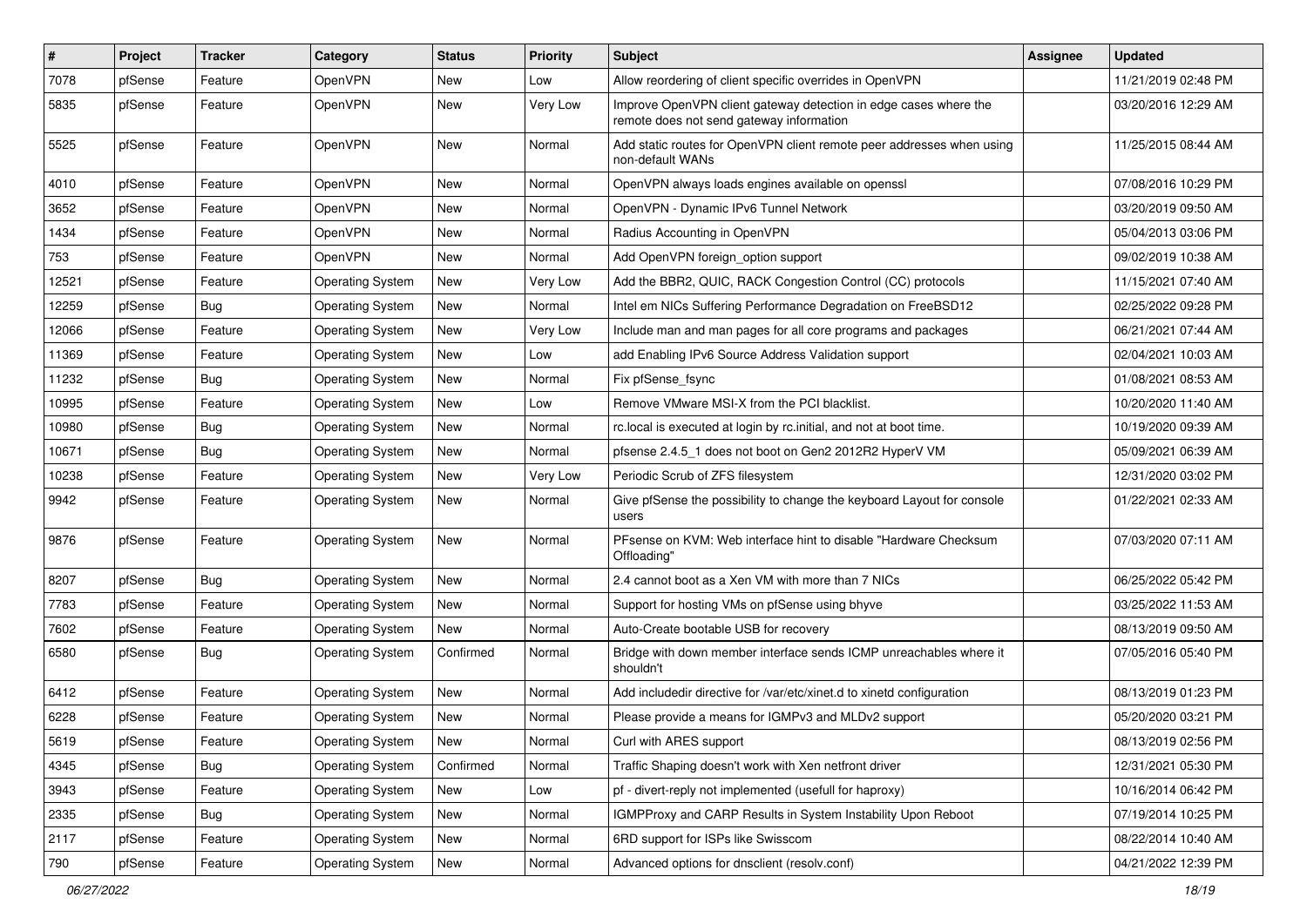| #     | Project | <b>Tracker</b> | Category                | <b>Status</b> | <b>Priority</b> | Subject                                                                                                      | <b>Assignee</b> | <b>Updated</b>      |
|-------|---------|----------------|-------------------------|---------------|-----------------|--------------------------------------------------------------------------------------------------------------|-----------------|---------------------|
| 7078  | pfSense | Feature        | OpenVPN                 | New           | Low             | Allow reordering of client specific overrides in OpenVPN                                                     |                 | 11/21/2019 02:48 PM |
| 5835  | pfSense | Feature        | OpenVPN                 | <b>New</b>    | Very Low        | Improve OpenVPN client gateway detection in edge cases where the<br>remote does not send gateway information |                 | 03/20/2016 12:29 AM |
| 5525  | pfSense | Feature        | OpenVPN                 | <b>New</b>    | Normal          | Add static routes for OpenVPN client remote peer addresses when using<br>non-default WANs                    |                 | 11/25/2015 08:44 AM |
| 4010  | pfSense | Feature        | OpenVPN                 | <b>New</b>    | Normal          | OpenVPN always loads engines available on openssl                                                            |                 | 07/08/2016 10:29 PM |
| 3652  | pfSense | Feature        | OpenVPN                 | <b>New</b>    | Normal          | OpenVPN - Dynamic IPv6 Tunnel Network                                                                        |                 | 03/20/2019 09:50 AM |
| 1434  | pfSense | Feature        | OpenVPN                 | New           | Normal          | Radius Accounting in OpenVPN                                                                                 |                 | 05/04/2013 03:06 PM |
| 753   | pfSense | Feature        | OpenVPN                 | New           | Normal          | Add OpenVPN foreign_option support                                                                           |                 | 09/02/2019 10:38 AM |
| 12521 | pfSense | Feature        | <b>Operating System</b> | New           | Very Low        | Add the BBR2, QUIC, RACK Congestion Control (CC) protocols                                                   |                 | 11/15/2021 07:40 AM |
| 12259 | pfSense | Bug            | <b>Operating System</b> | New           | Normal          | Intel em NICs Suffering Performance Degradation on FreeBSD12                                                 |                 | 02/25/2022 09:28 PM |
| 12066 | pfSense | Feature        | <b>Operating System</b> | New           | Very Low        | Include man and man pages for all core programs and packages                                                 |                 | 06/21/2021 07:44 AM |
| 11369 | pfSense | Feature        | <b>Operating System</b> | <b>New</b>    | Low             | add Enabling IPv6 Source Address Validation support                                                          |                 | 02/04/2021 10:03 AM |
| 11232 | pfSense | Bug            | <b>Operating System</b> | New           | Normal          | Fix pfSense_fsync                                                                                            |                 | 01/08/2021 08:53 AM |
| 10995 | pfSense | Feature        | <b>Operating System</b> | <b>New</b>    | Low             | Remove VMware MSI-X from the PCI blacklist.                                                                  |                 | 10/20/2020 11:40 AM |
| 10980 | pfSense | Bug            | <b>Operating System</b> | New           | Normal          | rc.local is executed at login by rc.initial, and not at boot time.                                           |                 | 10/19/2020 09:39 AM |
| 10671 | pfSense | <b>Bug</b>     | <b>Operating System</b> | New           | Normal          | pfsense 2.4.5_1 does not boot on Gen2 2012R2 HyperV VM                                                       |                 | 05/09/2021 06:39 AM |
| 10238 | pfSense | Feature        | <b>Operating System</b> | <b>New</b>    | Very Low        | Periodic Scrub of ZFS filesystem                                                                             |                 | 12/31/2020 03:02 PM |
| 9942  | pfSense | Feature        | <b>Operating System</b> | New           | Normal          | Give pfSense the possibility to change the keyboard Layout for console<br>users                              |                 | 01/22/2021 02:33 AM |
| 9876  | pfSense | Feature        | <b>Operating System</b> | New           | Normal          | PFsense on KVM: Web interface hint to disable "Hardware Checksum<br>Offloading'                              |                 | 07/03/2020 07:11 AM |
| 8207  | pfSense | <b>Bug</b>     | <b>Operating System</b> | <b>New</b>    | Normal          | 2.4 cannot boot as a Xen VM with more than 7 NICs                                                            |                 | 06/25/2022 05:42 PM |
| 7783  | pfSense | Feature        | <b>Operating System</b> | New           | Normal          | Support for hosting VMs on pfSense using bhyve                                                               |                 | 03/25/2022 11:53 AM |
| 7602  | pfSense | Feature        | <b>Operating System</b> | New           | Normal          | Auto-Create bootable USB for recovery                                                                        |                 | 08/13/2019 09:50 AM |
| 6580  | pfSense | Bug            | <b>Operating System</b> | Confirmed     | Normal          | Bridge with down member interface sends ICMP unreachables where it<br>shouldn't                              |                 | 07/05/2016 05:40 PM |
| 6412  | pfSense | Feature        | <b>Operating System</b> | <b>New</b>    | Normal          | Add includedir directive for /var/etc/xinet.d to xinetd configuration                                        |                 | 08/13/2019 01:23 PM |
| 6228  | pfSense | Feature        | <b>Operating System</b> | New           | Normal          | Please provide a means for IGMPv3 and MLDv2 support                                                          |                 | 05/20/2020 03:21 PM |
| 5619  | pfSense | Feature        | Operating System        | New           | Normal          | Curl with ARES support                                                                                       |                 | 08/13/2019 02:56 PM |
| 4345  | pfSense | <b>Bug</b>     | <b>Operating System</b> | Confirmed     | Normal          | Traffic Shaping doesn't work with Xen netfront driver                                                        |                 | 12/31/2021 05:30 PM |
| 3943  | pfSense | Feature        | <b>Operating System</b> | New           | Low             | pf - divert-reply not implemented (usefull for haproxy)                                                      |                 | 10/16/2014 06:42 PM |
| 2335  | pfSense | <b>Bug</b>     | <b>Operating System</b> | New           | Normal          | IGMPProxy and CARP Results in System Instability Upon Reboot                                                 |                 | 07/19/2014 10:25 PM |
| 2117  | pfSense | Feature        | <b>Operating System</b> | New           | Normal          | 6RD support for ISPs like Swisscom                                                                           |                 | 08/22/2014 10:40 AM |
| 790   | pfSense | Feature        | <b>Operating System</b> | New           | Normal          | Advanced options for dnsclient (resolv.conf)                                                                 |                 | 04/21/2022 12:39 PM |